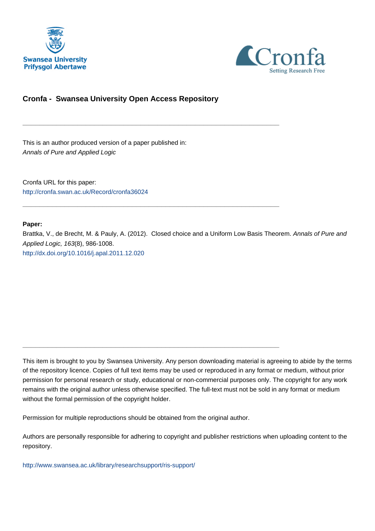



# **Cronfa - Swansea University Open Access Repository**

\_\_\_\_\_\_\_\_\_\_\_\_\_\_\_\_\_\_\_\_\_\_\_\_\_\_\_\_\_\_\_\_\_\_\_\_\_\_\_\_\_\_\_\_\_\_\_\_\_\_\_\_\_\_\_\_\_\_\_\_\_

\_\_\_\_\_\_\_\_\_\_\_\_\_\_\_\_\_\_\_\_\_\_\_\_\_\_\_\_\_\_\_\_\_\_\_\_\_\_\_\_\_\_\_\_\_\_\_\_\_\_\_\_\_\_\_\_\_\_\_\_\_

\_\_\_\_\_\_\_\_\_\_\_\_\_\_\_\_\_\_\_\_\_\_\_\_\_\_\_\_\_\_\_\_\_\_\_\_\_\_\_\_\_\_\_\_\_\_\_\_\_\_\_\_\_\_\_\_\_\_\_\_\_

This is an author produced version of a paper published in: Annals of Pure and Applied Logic

Cronfa URL for this paper: <http://cronfa.swan.ac.uk/Record/cronfa36024>

# **Paper:**

Brattka, V., de Brecht, M. & Pauly, A. (2012). Closed choice and a Uniform Low Basis Theorem. Annals of Pure and Applied Logic, 163(8), 986-1008. <http://dx.doi.org/10.1016/j.apal.2011.12.020>

This item is brought to you by Swansea University. Any person downloading material is agreeing to abide by the terms of the repository licence. Copies of full text items may be used or reproduced in any format or medium, without prior permission for personal research or study, educational or non-commercial purposes only. The copyright for any work remains with the original author unless otherwise specified. The full-text must not be sold in any format or medium without the formal permission of the copyright holder.

Permission for multiple reproductions should be obtained from the original author.

Authors are personally responsible for adhering to copyright and publisher restrictions when uploading content to the repository.

[http://www.swansea.ac.uk/library/researchsupport/ris-support/](http://www.swansea.ac.uk/library/researchsupport/ris-support/ )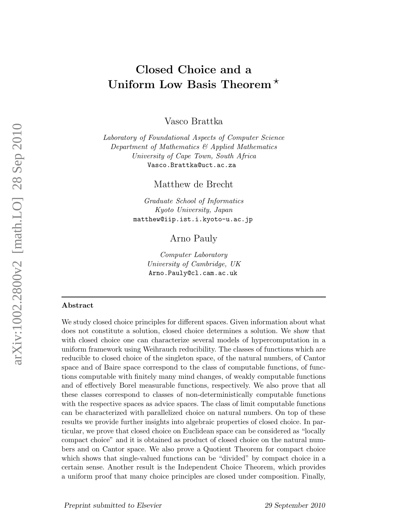# Closed Choice and a Uniform Low Basis Theorem<sup> $\star$ </sup>

Vasco Brattka

Laboratory of Foundational Aspects of Computer Science Department of Mathematics & Applied Mathematics University of Cape Town, South Africa Vasco.Brattka@uct.ac.za

Matthew de Brecht

Graduate School of Informatics Kyoto University, Japan matthew@iip.ist.i.kyoto-u.ac.jp

Arno Pauly

Computer Laboratory University of Cambridge, UK Arno.Pauly@cl.cam.ac.uk

#### Abstract

We study closed choice principles for different spaces. Given information about what does not constitute a solution, closed choice determines a solution. We show that with closed choice one can characterize several models of hypercomputation in a uniform framework using Weihrauch reducibility. The classes of functions which are reducible to closed choice of the singleton space, of the natural numbers, of Cantor space and of Baire space correspond to the class of computable functions, of functions computable with finitely many mind changes, of weakly computable functions and of effectively Borel measurable functions, respectively. We also prove that all these classes correspond to classes of non-deterministically computable functions with the respective spaces as advice spaces. The class of limit computable functions can be characterized with parallelized choice on natural numbers. On top of these results we provide further insights into algebraic properties of closed choice. In particular, we prove that closed choice on Euclidean space can be considered as "locally compact choice" and it is obtained as product of closed choice on the natural numbers and on Cantor space. We also prove a Quotient Theorem for compact choice which shows that single-valued functions can be "divided" by compact choice in a certain sense. Another result is the Independent Choice Theorem, which provides a uniform proof that many choice principles are closed under composition. Finally,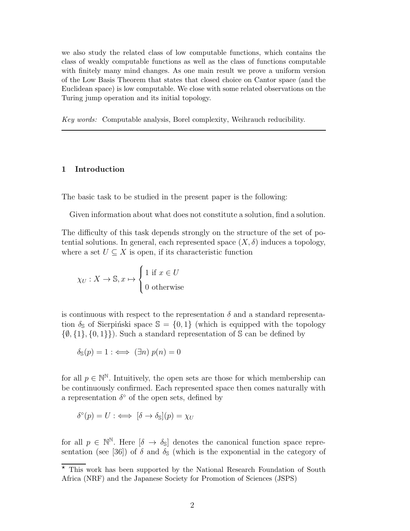we also study the related class of low computable functions, which contains the class of weakly computable functions as well as the class of functions computable with finitely many mind changes. As one main result we prove a uniform version of the Low Basis Theorem that states that closed choice on Cantor space (and the Euclidean space) is low computable. We close with some related observations on the Turing jump operation and its initial topology.

Key words: Computable analysis, Borel complexity, Weihrauch reducibility.

#### 1 Introduction

The basic task to be studied in the present paper is the following:

Given information about what does not constitute a solution, find a solution.

The difficulty of this task depends strongly on the structure of the set of potential solutions. In general, each represented space  $(X, \delta)$  induces a topology, where a set  $U \subseteq X$  is open, if its characteristic function

$$
\chi_U: X \to \mathbb{S}, x \mapsto \begin{cases} 1 \text{ if } x \in U \\ 0 \text{ otherwise} \end{cases}
$$

is continuous with respect to the representation  $\delta$  and a standard representation  $\delta_{\rm S}$  of Sierpinski space  $\mathbb{S} = \{0,1\}$  (which is equipped with the topology  $\{\emptyset, \{1\}, \{0, 1\}\}\$ . Such a standard representation of S can be defined by

$$
\delta_{\mathbb{S}}(p) = 1 : \iff (\exists n) \ p(n) = 0
$$

for all  $p \in \mathbb{N}^{\mathbb{N}}$ . Intuitively, the open sets are those for which membership can be continuously confirmed. Each represented space then comes naturally with a representation  $\delta^{\circ}$  of the open sets, defined by

$$
\delta^{\circ}(p) = U : \iff [\delta \to \delta_{\mathbb{S}}](p) = \chi_U
$$

for all  $p \in \mathbb{N}^{\mathbb{N}}$ . Here  $[\delta \to \delta_{\mathbb{S}}]$  denotes the canonical function space representation (see [36]) of  $\delta$  and  $\delta_{\mathbb{S}}$  (which is the exponential in the category of

 $\overline{\star}$  This work has been supported by the National Research Foundation of South Africa (NRF) and the Japanese Society for Promotion of Sciences (JSPS)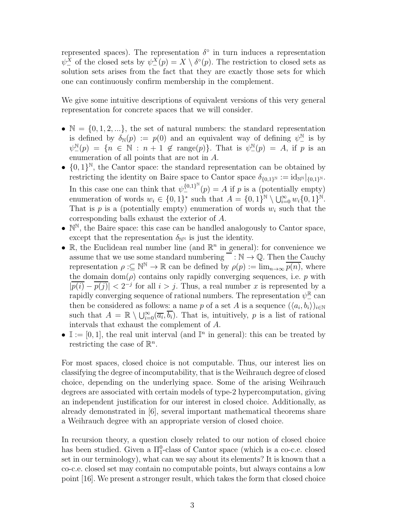represented spaces). The representation  $\delta^{\circ}$  in turn induces a representation  $\psi_-^X$  of the closed sets by  $\psi_-^X(p) = X \setminus \delta^{\circ}(p)$ . The restriction to closed sets as solution sets arises from the fact that they are exactly those sets for which one can continuously confirm membership in the complement.

We give some intuitive descriptions of equivalent versions of this very general representation for concrete spaces that we will consider.

- $\mathbb{N} = \{0, 1, 2, \ldots\}$ , the set of natural numbers: the standard representation is defined by  $\delta_{\mathbb{N}}(p) := p(0)$  and an equivalent way of defining  $\psi^{\mathbb{N}}$  is by  $\psi^{\mathbb{N}}_-(p) = \{n \in \mathbb{N} : n+1 \notin \text{range}(p)\}.$  That is  $\psi^{\mathbb{N}}_-(p) = A$ , if p is an enumeration of all points that are not in A.
- $\{0,1\}^{\mathbb{N}}$ , the Cantor space: the standard representation can be obtained by restricting the identity on Baire space to Cantor space  $\delta_{\{0,1\}^{\mathbb{N}}} := \mathrm{id}_{\mathbb{N}}|_{\{0,1\}^{\mathbb{N}}}$ . In this case one can think that  $\psi_{-}^{\{0,1\}^{N}}(p) = A$  if p is a (potentially empty) enumeration of words  $w_i \in \{0,1\}^*$  such that  $A = \{0,1\}^{\mathbb{N}} \setminus \bigcup_{i=0}^{\infty} w_i \{0,1\}^{\mathbb{N}}$ . That is  $p$  is a (potentially empty) enumeration of words  $w_i$  such that the corresponding balls exhaust the exterior of A.
- $\bullet$   $\mathbb{N}^{\mathbb{N}}$ , the Baire space: this case can be handled analogously to Cantor space, except that the representation  $\delta_{\mathbb{N}^N}$  is just the identity.
- $\mathbb{R}$ , the Euclidean real number line (and  $\mathbb{R}^n$  in general): for convenience we assume that we use some standard numbering  $\overline{\phantom{a}} : \mathbb{N} \to \mathbb{Q}$ . Then the Cauchy representation  $\rho : \subseteq \mathbb{N}^{\mathbb{N}} \to \mathbb{R}$  can be defined by  $\rho(p) := \lim_{n \to \infty} \overline{p(n)}$ , where the domain dom( $\rho$ ) contains only rapidly converging sequences, i.e. p with  $|\overline{p(i)} - \overline{p(j)}| < 2^{-j}$  for all  $i > j$ . Thus, a real number x is represented by a rapidly converging sequence of rational numbers. The representation  $\psi^{\mathbb{R}}_-$  can then be considered as follows: a name p of a set A is a sequence  $(\langle a_i, b_i \rangle)_{i \in \mathbb{N}}$ such that  $A = \mathbb{R} \setminus \bigcup_{i=0}^{\infty} (\overline{a_i}, \overline{b_i})$ . That is, intuitively, p is a list of rational intervals that exhaust the complement of A.
- $\mathbb{I}:=[0,1],$  the real unit interval (and  $\mathbb{I}^n$  in general): this can be treated by restricting the case of  $\mathbb{R}^n$ .

For most spaces, closed choice is not computable. Thus, our interest lies on classifying the degree of incomputability, that is the Weihrauch degree of closed choice, depending on the underlying space. Some of the arising Weihrauch degrees are associated with certain models of type-2 hypercomputation, giving an independent justification for our interest in closed choice. Additionally, as already demonstrated in [6], several important mathematical theorems share a Weihrauch degree with an appropriate version of closed choice.

In recursion theory, a question closely related to our notion of closed choice has been studied. Given a  $\Pi_1^0$ -class of Cantor space (which is a co-c.e. closed set in our terminology), what can we say about its elements? It is known that a co-c.e. closed set may contain no computable points, but always contains a low point [16]. We present a stronger result, which takes the form that closed choice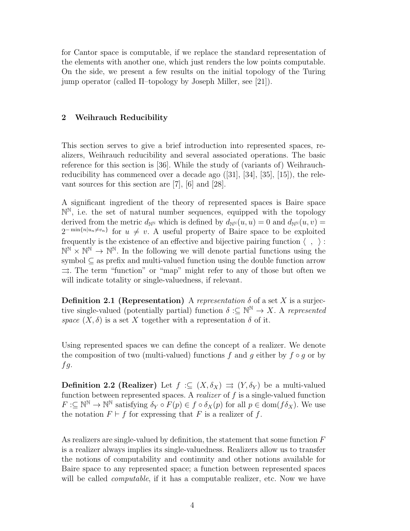for Cantor space is computable, if we replace the standard representation of the elements with another one, which just renders the low points computable. On the side, we present a few results on the initial topology of the Turing jump operator (called Π–topology by Joseph Miller, see [21]).

# 2 Weihrauch Reducibility

This section serves to give a brief introduction into represented spaces, realizers, Weihrauch reducibility and several associated operations. The basic reference for this section is [36]. While the study of (variants of) Weihrauchreducibility has commenced over a decade ago ([31], [34], [35], [15]), the relevant sources for this section are [7], [6] and [28].

A significant ingredient of the theory of represented spaces is Baire space  $\mathbb{N}^{\mathbb{N}}$ , i.e. the set of natural number sequences, equipped with the topology derived from the metric  $d_{\mathbb{N}^{\mathbb{N}}}$  which is defined by  $d_{\mathbb{N}^{\mathbb{N}}}(u, u) = 0$  and  $d_{\mathbb{N}^{\mathbb{N}}}(u, v) =$  $2^{-\min\{n|u_n\neq v_n\}}$  for  $u \neq v$ . A useful property of Baire space to be exploited frequently is the existence of an effective and bijective pairing function  $\langle , \rangle$ :  $\mathbb{N}^{\mathbb{N}} \times \mathbb{N}^{\mathbb{N}} \to \mathbb{N}^{\mathbb{N}}$ . In the following we will denote partial functions using the symbol  $\subseteq$  as prefix and multi-valued function using the double function arrow  $\Rightarrow$ . The term "function" or "map" might refer to any of those but often we will indicate totality or single-valuedness, if relevant.

**Definition 2.1 (Representation)** A representation  $\delta$  of a set X is a surjective single-valued (potentially partial) function  $\delta : \subseteq \mathbb{N}^{\mathbb{N}} \to X$ . A represented space  $(X, \delta)$  is a set X together with a representation  $\delta$  of it.

Using represented spaces we can define the concept of a realizer. We denote the composition of two (multi-valued) functions f and q either by  $f \circ q$  or by  $fg.$ 

**Definition 2.2 (Realizer)** Let  $f : \subseteq (X, \delta_X) \implies (Y, \delta_Y)$  be a multi-valued function between represented spaces. A *realizer* of  $f$  is a single-valued function  $F:\subseteq\mathbb{N}^{\mathbb{N}}\to\mathbb{N}^{\mathbb{N}}$  satisfying  $\delta_Y\circ F(p)\in f\circ\delta_X(p)$  for all  $p\in\text{dom}(f\delta_X)$ . We use the notation  $F \vdash f$  for expressing that F is a realizer of f.

As realizers are single-valued by definition, the statement that some function  $F$ is a realizer always implies its single-valuedness. Realizers allow us to transfer the notions of computability and continuity and other notions available for Baire space to any represented space; a function between represented spaces will be called *computable*, if it has a computable realizer, etc. Now we have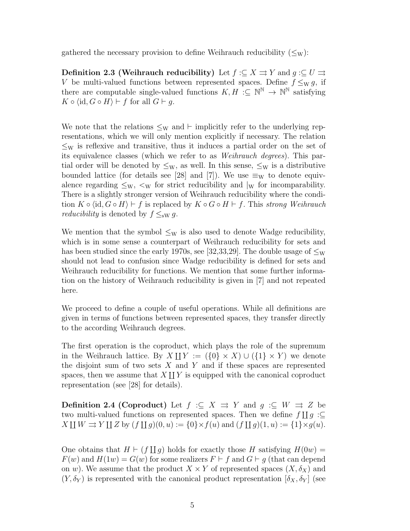gathered the necessary provision to define Weihrauch reducibility  $(\leq_W)$ :

**Definition 2.3 (Weihrauch reducibility)** Let  $f : \subseteq X \rightrightarrows Y$  and  $g : \subseteq U \rightrightarrows$ V be multi-valued functions between represented spaces. Define  $f \leq_{W} g$ , if there are computable single-valued functions  $K, H : \subseteq \mathbb{N}^{\mathbb{N}} \to \mathbb{N}^{\mathbb{N}}$  satisfying  $K \circ \langle id, G \circ H \rangle \vdash f$  for all  $G \vdash q$ .

We note that the relations  $\leq_W$  and ⊢ implicitly refer to the underlying representations, which we will only mention explicitly if necessary. The relation  $\leq_W$  is reflexive and transitive, thus it induces a partial order on the set of its equivalence classes (which we refer to as Weihrauch degrees). This partial order will be denoted by  $\leq_W$ , as well. In this sense,  $\leq_W$  is a distributive bounded lattice (for details see [28] and [7]). We use  $\equiv_W$  to denote equivalence regarding  $\leq_W$ ,  $\lt_W$  for strict reducibility and  $\vert_W$  for incomparability. There is a slightly stronger version of Weihrauch reducibility where the condition  $K \circ \langle id, G \circ H \rangle \vdash f$  is replaced by  $K \circ G \circ H \vdash f$ . This strong Weihrauch *reducibility* is denoted by  $f \leq_{\text{sw}} g$ .

We mention that the symbol  $\leq_W$  is also used to denote Wadge reducibility, which is in some sense a counterpart of Weihrauch reducibility for sets and has been studied since the early 1970s, see [32,33,29]. The double usage of  $\leq_W$ should not lead to confusion since Wadge reducibility is defined for sets and Weihrauch reducibility for functions. We mention that some further information on the history of Weihrauch reducibility is given in [7] and not repeated here.

We proceed to define a couple of useful operations. While all definitions are given in terms of functions between represented spaces, they transfer directly to the according Weihrauch degrees.

The first operation is the coproduct, which plays the role of the supremum in the Weihrauch lattice. By  $X \coprod Y := (\{0\} \times X) \cup (\{1\} \times Y)$  we denote the disjoint sum of two sets  $X$  and  $Y$  and if these spaces are represented spaces, then we assume that  $X \coprod Y$  is equipped with the canonical coproduct representation (see [28] for details).

**Definition 2.4 (Coproduct)** Let  $f : \subseteq X \implies Y$  and  $g : \subseteq W \implies Z$  be two multi-valued functions on represented spaces. Then we define  $f \coprod g : \subseteq$  $X \amalg W \rightrightarrows Y \amalg Z$  by  $(f \amalg g)(0, u) := \{0\} \times f(u)$  and  $(f \amalg g)(1, u) := \{1\} \times g(u)$ .

One obtains that  $H \vdash (f \sqcup g)$  holds for exactly those H satisfying  $H(0w) =$  $F(w)$  and  $H(1w) = G(w)$  for some realizers  $F \vdash f$  and  $G \vdash g$  (that can depend on w). We assume that the product  $X \times Y$  of represented spaces  $(X, \delta_X)$  and  $(Y, \delta_Y)$  is represented with the canonical product representation  $[\delta_X, \delta_Y]$  (see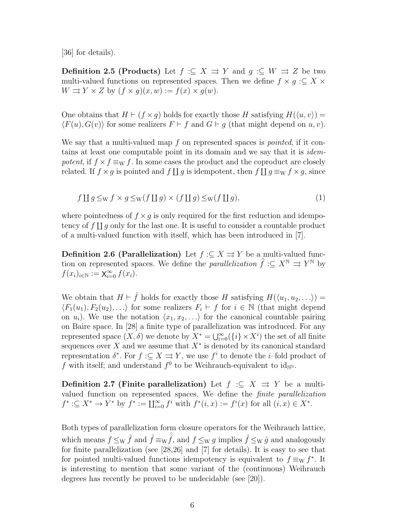[36] for details).

**Definition 2.5 (Products)** Let  $f : \subseteq X \implies Y$  and  $g : \subseteq W \implies Z$  be two multi-valued functions on represented spaces. Then we define  $f \times g : \subseteq X \times$  $W \rightrightarrows Y \times Z$  by  $(f \times g)(x, w) := f(x) \times g(w)$ .

One obtains that  $H \vdash (f \times q)$  holds for exactly those H satisfying  $H(\langle u, v \rangle) =$  $\langle F(u), G(v) \rangle$  for some realizers  $F \vdash f$  and  $G \vdash g$  (that might depend on u, v).

We say that a multi-valued map  $f$  on represented spaces is *pointed*, if it contains at least one computable point in its domain and we say that it is *idem*potent, if  $f \times f \equiv_{\text{W}} f$ . In some cases the product and the coproduct are closely related. If  $f \times g$  is pointed and  $f \coprod g$  is idempotent, then  $f \coprod g \equiv_{\mathrm{W}} f \times g$ , since

$$
f \amalg g \leq_{\mathrm{W}} f \times g \leq_{\mathrm{W}} (f \amalg g) \times (f \amalg g) \leq_{\mathrm{W}} (f \amalg g), \tag{1}
$$

where pointedness of  $f \times g$  is only required for the first reduction and idempotency of  $f \coprod g$  only for the last one. It is useful to consider a countable product of a multi-valued function with itself, which has been introduced in [7].

**Definition 2.6 (Parallelization)** Let  $f : \subseteq X \rightrightarrows Y$  be a multi-valued function on represented spaces. We define the *parallelization*  $\hat{f} : \subseteq X^{\mathbb{N}} \implies Y^{\mathbb{N}}$  by  $f(x_i)_{i \in \mathbb{N}} := \mathsf{X}_{i=0}^{\infty} f(x_i).$ 

We obtain that  $H \vdash \hat{f}$  holds for exactly those H satisfying  $H(\langle u_1, u_2, \ldots \rangle) =$  $\langle F_1(u_1), F_2(u_2), \ldots \rangle$  for some realizers  $F_i \vdash f$  for  $i \in \mathbb{N}$  (that might depend on  $u_i$ ). We use the notation  $\langle x_1, x_2, \ldots \rangle$  for the canonical countable pairing on Baire space. In [28] a finite type of parallelization was introduced. For any represented space  $(X, \delta)$  we denote by  $X^* = \bigcup_{i=0}^{\infty} (\{i\} \times X^i)$  the set of all finite sequences over X and we assume that  $X^*$  is denoted by its canonical standard representation  $\delta^*$ . For  $f: \subseteq X \rightrightarrows Y$ , we use  $f^i$  to denote the *i*-fold product of f with itself; and understand  $f^0$  to be Weihrauch-equivalent to  $\mathrm{id}_{\mathbb{N}^{\mathbb{N}}}$ .

**Definition 2.7 (Finite parallelization)** Let  $f : \subseteq X \implies Y$  be a multivalued function on represented spaces. We define the finite parallelization  $f^* : \subseteq X^* \to Y^*$  by  $f^* := \coprod_{i=0}^{\infty} f^i$  with  $f^*(i, x) := f^i(x)$  for all  $(i, x) \in X^*$ .

Both types of parallelization form closure operators for the Weihrauch lattice, which means  $f \leq_{\mathrm{W}} \hat{f}$  and  $\hat{f} \equiv_{\mathrm{W}} \hat{f}$ , and  $f \leq_{\mathrm{W}} g$  implies  $\hat{f} \leq_{\mathrm{W}} \hat{g}$  and analogously for finite parallelization (see [28,26] and [7] for details). It is easy to see that for pointed multi-valued functions idempotency is equivalent to  $f \equiv_W f^*$ . It is interesting to mention that some variant of the (continuous) Weihrauch degrees has recently be proved to be undecidable (see [20]).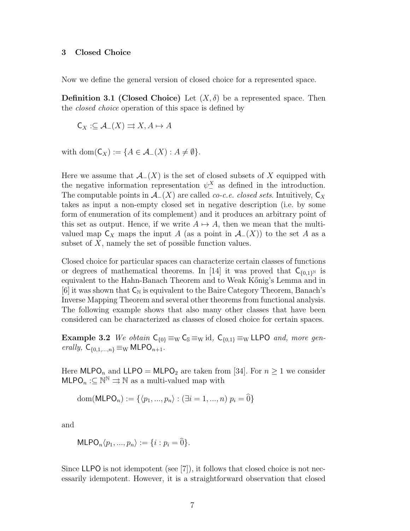#### 3 Closed Choice

Now we define the general version of closed choice for a represented space.

**Definition 3.1 (Closed Choice)** Let  $(X, \delta)$  be a represented space. Then the closed choice operation of this space is defined by

$$
\mathsf{C}_X:\subseteq \mathcal{A}_-(X)\rightrightarrows X, A\mapsto A
$$

with  $dom(C_X) := \{ A \in \mathcal{A}_{-}(X) : A \neq \emptyset \}.$ 

Here we assume that  $\mathcal{A}_-(X)$  is the set of closed subsets of X equipped with the negative information representation  $\psi_-^X$  as defined in the introduction. The computable points in  $\mathcal{A}_-(X)$  are called *co-c.e. closed sets*. Intuitively,  $\mathsf{C}_X$ takes as input a non-empty closed set in negative description (i.e. by some form of enumeration of its complement) and it produces an arbitrary point of this set as output. Hence, if we write  $A \mapsto A$ , then we mean that the multivalued map  $C_X$  maps the input A (as a point in  $\mathcal{A}_-(X)$ ) to the set A as a subset of  $X$ , namely the set of possible function values.

Closed choice for particular spaces can characterize certain classes of functions or degrees of mathematical theorems. In [14] it was proved that  $C_{\{0,1\}^N}$  is equivalent to the Hahn-Banach Theorem and to Weak K˝onig's Lemma and in [6] it was shown that  $C_N$  is equivalent to the Baire Category Theorem, Banach's Inverse Mapping Theorem and several other theorems from functional analysis. The following example shows that also many other classes that have been considered can be characterized as classes of closed choice for certain spaces.

**Example 3.2** We obtain  $C_{\{0\}} \equiv_W C_s \equiv_W \text{id}$ ,  $C_{\{0,1\}} \equiv_W \text{LLPO}$  and, more generally,  $C_{\{0,1,\ldots,n\}} \equiv_{\text{W}} \text{MLPO}_{n+1}$ .

Here MLPO<sub>n</sub> and LLPO = MLPO<sub>2</sub> are taken from [34]. For  $n \ge 1$  we consider  $\mathsf{MLPO}_n:\subseteq{\mathbb{N}}^{\mathbb{N}}\rightrightarrows{\mathbb{N}}$  as a multi-valued map with

dom(MLPO<sub>n</sub>) := {
$$
\langle p_1, ..., p_n \rangle : (\exists i = 1, ..., n) \ p_i = \hat{0}
$$
}

and

$$
MLPO_n\langle p_1,...,p_n\rangle := \{i : p_i = \widehat{0}\}.
$$

Since LLPO is not idempotent (see  $[7]$ ), it follows that closed choice is not necessarily idempotent. However, it is a straightforward observation that closed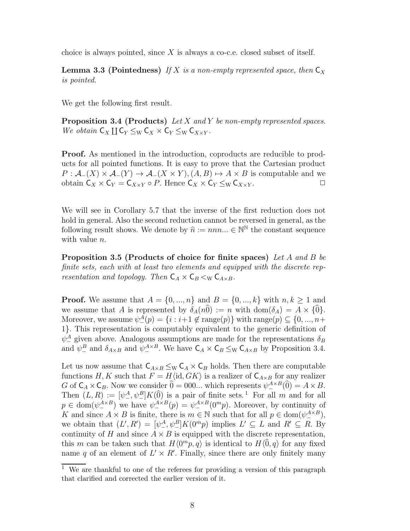choice is always pointed, since X is always a co-c.e. closed subset of itself.

**Lemma 3.3 (Pointedness)** If X is a non-empty represented space, then  $C_X$ is pointed.

We get the following first result.

**Proposition 3.4 (Products)** Let  $X$  and  $Y$  be non-empty represented spaces. We obtain  $C_X \coprod C_Y \leq_W C_X \times C_Y \leq_W C_{X \times Y}$ .

Proof. As mentioned in the introduction, coproducts are reducible to products for all pointed functions. It is easy to prove that the Cartesian product  $P: \mathcal{A}_-(X) \times \mathcal{A}_-(Y) \to \mathcal{A}_-(X \times Y), (A, B) \mapsto A \times B$  is computable and we obtain  $C_X \times C_Y = C_{X \times Y} \circ P$ . Hence  $C_X \times C_Y \leq_W C_{X \times Y}$ .

We will see in Corollary 5.7 that the inverse of the first reduction does not hold in general. Also the second reduction cannot be reversed in general, as the following result shows. We denote by  $\hat{n} := nnn... \in \mathbb{N}^{\mathbb{N}}$  the constant sequence with value *n*.

Proposition 3.5 (Products of choice for finite spaces) Let A and B be finite sets, each with at least two elements and equipped with the discrete representation and topology. Then  $C_A \times C_B \lt_{\text{W}} C_{A \times B}$ .

**Proof.** We assume that  $A = \{0, ..., n\}$  and  $B = \{0, ..., k\}$  with  $n, k \ge 1$  and we assume that A is represented by  $\delta_A(n\hat{0}) := n$  with  $\text{dom}(\delta_A) = A \times \{0\}.$ Moreover, we assume  $\psi_{-}^{A}(p) = \{i : i+1 \notin \text{range}(p)\}\$  with  $\text{range}(p) \subseteq \{0, ..., n+\}$ 1}. This representation is computably equivalent to the generic definition of  $\psi^A_{-}$  given above. Analogous assumptions are made for the representations  $\delta_B$ and  $\psi^B_-$  and  $\delta_{A\times B}$  and  $\psi^{A\times B}_-$ . We have  $\mathsf{C}_A \times \mathsf{C}_B \leq_{\mathrm{W}} \mathsf{C}_{A\times B}$  by Proposition 3.4.

Let us now assume that  $C_{A\times B} \leq_{W} C_{A} \times C_{B}$  holds. Then there are computable functions H, K such that  $F = H\langle id, GK\rangle$  is a realizer of  $C_{A\times B}$  for any realizer G of  $C_A \times C_B$ . Now we consider  $\hat{0} = 000...$  which represents  $\psi^{A \times B}_{-}(\hat{0}) = A \times B$ . Then  $(L, R) := [\psi^A_-, \psi^B_-] K(\hat{0})$  is a pair of finite sets.<sup>1</sup> For all m and for all  $p \in \text{dom}(\psi_-^{A \times B})$  we have  $\psi_-^{A \times B}(p) = \psi_-^{A \times B}(0^m p)$ . Moreover, by continuity of K and since  $A \times B$  is finite, there is  $m \in \mathbb{N}$  such that for all  $p \in \text{dom}(\psi_{-}^{A \times B})$ , we obtain that  $(L', R') = [\psi^A_-, \psi^B_-] K(0^m p)$  implies  $L' \subseteq L$  and  $R' \subseteq R$ . By continuity of H and since  $A \times B$  is equipped with the discrete representation, this m can be taken such that  $H\langle 0^m p, q \rangle$  is identical to  $H\langle 0, q \rangle$  for any fixed name q of an element of  $L' \times R'$ . Finally, since there are only finitely many

 $\overline{1}$  We are thankful to one of the referees for providing a version of this paragraph that clarified and corrected the earlier version of it.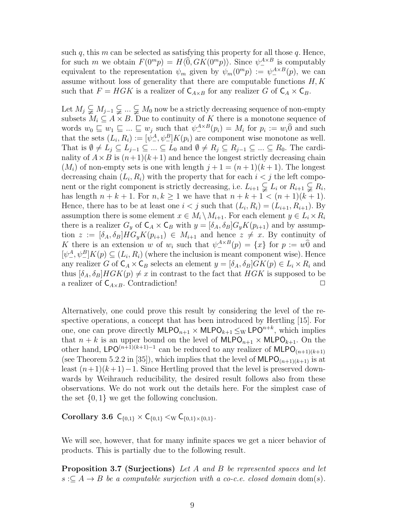such q, this m can be selected as satisfying this property for all those q. Hence, for such m we obtain  $F(0^m p) = H(0, GK(0^m p))$ . Since  $\psi_-^{A \times B}$  is computably equivalent to the representation  $\psi_m$  given by  $\psi_m(0^m p) := \psi_-^{A \times B}(p)$ , we can assume without loss of generality that there are computable functions  $H, K$ such that  $F = H G K$  is a realizer of  $C_{A \times B}$  for any realizer G of  $C_A \times C_B$ .

Let  $M_j \subsetneq M_{j-1} \subsetneq \ldots \subsetneq M_0$  now be a strictly decreasing sequence of non-empty subsets  $M_i \subseteq A \times B$ . Due to continuity of K there is a monotone sequence of words  $w_0 \sqsubseteq w_1 \sqsubseteq ... \sqsubseteq w_j$  such that  $\psi^{A \times B}_{-}(p_i) = M_i$  for  $p_i := w_i \widehat{0}$  and such that the sets  $(L_i, R_i) := [\psi^A_-, \psi^B_-] K(p_i)$  are component wise monotone as well. That is  $\emptyset \neq L_j \subseteq L_{j-1} \subseteq ... \subseteq L_0$  and  $\emptyset \neq R_j \subseteq R_{j-1} \subseteq ... \subseteq R_0$ . The cardinality of  $A \times B$  is  $(n+1)(k+1)$  and hence the longest strictly decreasing chain  $(M_i)$  of non-empty sets is one with length  $j+1 = (n+1)(k+1)$ . The longest decreasing chain  $(L_i, R_i)$  with the property that for each  $i < j$  the left component or the right component is strictly decreasing, i.e.  $L_{i+1} \subsetneq L_i$  or  $R_{i+1} \subsetneq R_i$ , has length  $n + k + 1$ . For  $n, k \ge 1$  we have that  $n + k + 1 < (n + 1)(k + 1)$ . Hence, there has to be at least one  $i < j$  such that  $(L_i, R_i) = (L_{i+1}, R_{i+1})$ . By assumption there is some element  $x \in M_i \setminus M_{i+1}$ . For each element  $y \in L_i \times R_i$ there is a realizer  $G_y$  of  $C_A \times C_B$  with  $y = [\delta_A, \delta_B] G_y K(p_{i+1})$  and by assumption  $z := [\delta_A, \delta_B] H G_y K(p_{i+1}) \in M_{i+1}$  and hence  $z \neq x$ . By continuity of K there is an extension w of  $w_i$  such that  $\psi_{-}^{A \times B}(p) = \{x\}$  for  $p := w\hat{0}$  and  $[\psi^A_-, \psi^B_-] K(p) \subseteq (L_i, R_i)$  (where the inclusion is meant component wise). Hence any realizer G of  $C_A \times C_B$  selects an element  $y = [\delta_A, \delta_B] G K(p) \in L_i \times R_i$  and thus  $[\delta_A, \delta_B] H G K(p) \neq x$  in contrast to the fact that  $H G K$  is supposed to be a realizer of  $C_{A\times B}$ . Contradiction!

Alternatively, one could prove this result by considering the level of the respective operations, a concept that has been introduced by Hertling [15]. For one, one can prove directly  $\textsf{MLPO}_{n+1} \times \textsf{MLPO}_{k+1} \leq_{\text{W}} \textsf{LPO}^{n+k}$ , which implies that  $n + k$  is an upper bound on the level of  $MLPO_{n+1} \times MLPO_{k+1}$ . On the other hand, LPO<sup>(n+1)(k+1)-1</sup> can be reduced to any realizer of  $MLPO_{(n+1)(k+1)}$ (see Theorem 5.2.2 in [35]), which implies that the level of  $MLPO_{(n+1)(k+1)}$  is at least  $(n+1)(k+1)-1$ . Since Hertling proved that the level is preserved downwards by Weihrauch reducibility, the desired result follows also from these observations. We do not work out the details here. For the simplest case of the set  $\{0, 1\}$  we get the following conclusion.

Corollary 3.6  $C_{\{0,1\}} \times C_{\{0,1\}} \leq_{\rm W} C_{\{0,1\} \times \{0,1\}}.$ 

We will see, however, that for many infinite spaces we get a nicer behavior of products. This is partially due to the following result.

Proposition 3.7 (Surjections) Let A and B be represented spaces and let  $s \subseteq A \rightarrow B$  be a computable surjection with a co-c.e. closed domain dom(s).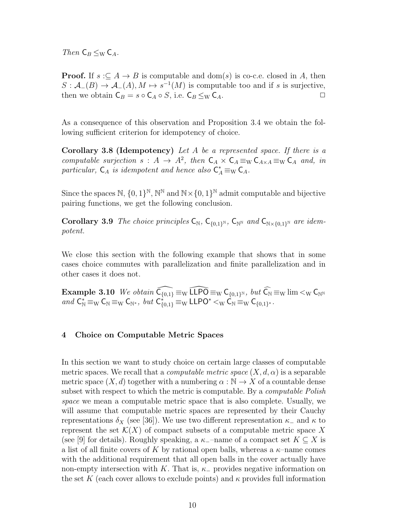Then  $C_B \leq_W C_A$ .

**Proof.** If  $s \subseteq A \rightarrow B$  is computable and dom(s) is co-c.e. closed in A, then  $S: \mathcal{A}_{-}(B) \to \mathcal{A}_{-}(A), M \mapsto s^{-1}(M)$  is computable too and if s is surjective, then we obtain  $C_B = s \circ C_A \circ S$ , i.e.  $C_B \leq_W C_A$ .

As a consequence of this observation and Proposition 3.4 we obtain the following sufficient criterion for idempotency of choice.

**Corollary 3.8 (Idempotency)** Let  $A$  be a represented space. If there is a computable surjection  $s: A \to A^2$ , then  $C_A \times C_A \equiv_W C_{A \times A} \equiv_W C_A$  and, in particular,  $C_A$  is idempotent and hence also  $C_A^* \equiv_W C_A$ .

Since the spaces  $\mathbb{N}, \{0,1\}^{\mathbb{N}}, \mathbb{N}^{\mathbb{N}}$  and  $\mathbb{N} \times \{0,1\}^{\mathbb{N}}$  admit computable and bijective pairing functions, we get the following conclusion.

Corollary 3.9 The choice principles  $C_N$ ,  $C_{\{0,1\}^N}$ ,  $C_{N^N}$  and  $C_{N \times \{0,1\}^N}$  are idempotent.

We close this section with the following example that shows that in some cases choice commutes with parallelization and finite parallelization and in other cases it does not.

 $\textbf{Example 3.10} \ \textit{We obtain} \ \widehat{\mathsf{C}_{\{0,1\}}} \equiv_{\mathrm{W}} \widehat{\mathsf{LLPO}} \equiv_{\mathrm{W}} \mathsf{C}_{\{0,1\}^{\mathrm{N}}}, \ \textit{but} \ \widehat{\mathsf{C}_{\Bbb{N}}} \equiv_{\mathrm{W}} \lim <_{\mathrm{W}} \mathsf{C}_{\Bbb{N}^{\mathrm{N}}}$ and  $C^*_{\mathbb{N}} \equiv_{\mathbb{W}} C_{\mathbb{N}} \equiv_{\mathbb{W}} C_{\mathbb{N}^*}$ , but  $C^*_{\{0,1\}} \equiv_{\mathbb{W}} \mathsf{LLPO}^* <_{\mathbb{W}} \widetilde{C}_{\mathbb{N}} \equiv_{\mathbb{W}} C_{\{0,1\}^*}$ .

# 4 Choice on Computable Metric Spaces

In this section we want to study choice on certain large classes of computable metric spaces. We recall that a *computable metric space*  $(X, d, \alpha)$  is a separable metric space  $(X, d)$  together with a numbering  $\alpha : \mathbb{N} \to X$  of a countable dense subset with respect to which the metric is computable. By a *computable Polish* space we mean a computable metric space that is also complete. Usually, we will assume that computable metric spaces are represented by their Cauchy representations  $\delta_X$  (see [36]). We use two different representation  $\kappa_-\,$  and  $\kappa$  to represent the set  $\mathcal{K}(X)$  of compact subsets of a computable metric space X (see [9] for details). Roughly speaking, a  $\kappa$ <sub>-</sub>–name of a compact set  $K \subseteq X$  is a list of all finite covers of K by rational open balls, whereas a  $\kappa$ -name comes with the additional requirement that all open balls in the cover actually have non-empty intersection with K. That is,  $\kappa_+$  provides negative information on the set K (each cover allows to exclude points) and  $\kappa$  provides full information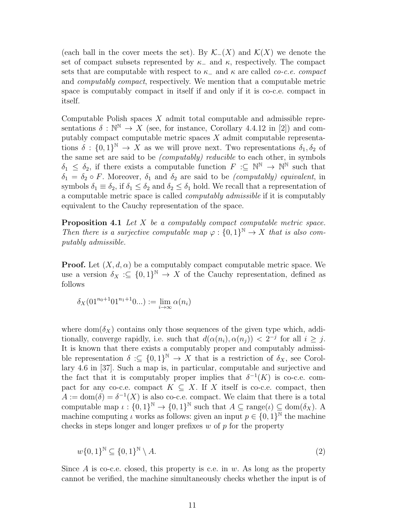(each ball in the cover meets the set). By  $\mathcal{K}_-(X)$  and  $\mathcal{K}(X)$  we denote the set of compact subsets represented by  $\kappa_-\$  and  $\kappa$ , respectively. The compact sets that are computable with respect to  $\kappa_-\$  and  $\kappa$  are called *co-c.e. compact* and computably compact, respectively. We mention that a computable metric space is computably compact in itself if and only if it is co-c.e. compact in itself.

Computable Polish spaces X admit total computable and admissible representations  $\delta : \mathbb{N}^{\mathbb{N}} \to X$  (see, for instance, Corollary 4.4.12 in [2]) and computably compact computable metric spaces  $X$  admit computable representations  $\delta : \{0,1\}^{\mathbb{N}} \to X$  as we will prove next. Two representations  $\delta_1, \delta_2$  of the same set are said to be (computably) reducible to each other, in symbols  $\delta_1 \leq \delta_2$ , if there exists a computable function  $F : \subseteq \mathbb{N}^{\mathbb{N}} \to \mathbb{N}^{\mathbb{N}}$  such that  $\delta_1 = \delta_2 \circ F$ . Moreover,  $\delta_1$  and  $\delta_2$  are said to be *(computably) equivalent*, in symbols  $\delta_1 \equiv \delta_2$ , if  $\delta_1 \leq \delta_2$  and  $\delta_2 \leq \delta_1$  hold. We recall that a representation of a computable metric space is called computably admissible if it is computably equivalent to the Cauchy representation of the space.

**Proposition 4.1** Let  $X$  be a computably compact computable metric space. Then there is a surjective computable map  $\varphi: \{0,1\}^{\mathbb{N}} \to X$  that is also computably admissible.

**Proof.** Let  $(X, d, \alpha)$  be a computably compact computable metric space. We use a version  $\delta_X : \subseteq \{0,1\}^{\mathbb{N}} \to X$  of the Cauchy representation, defined as follows

$$
\delta_X(01^{n_0+1}01^{n_1+1}0...):=\lim_{i\to\infty}\alpha(n_i)
$$

where dom( $\delta_X$ ) contains only those sequences of the given type which, additionally, converge rapidly, i.e. such that  $d(\alpha(n_i), \alpha(n_j)) < 2^{-j}$  for all  $i \geq j$ . It is known that there exists a computably proper and computably admissible representation  $\delta : \subseteq \{0,1\}^{\mathbb{N}} \to X$  that is a restriction of  $\delta_X$ , see Corollary 4.6 in [37]. Such a map is, in particular, computable and surjective and the fact that it is computably proper implies that  $\delta^{-1}(K)$  is co-c.e. compact for any co-c.e. compact  $K \subseteq X$ . If X itself is co-c.e. compact, then  $A := \text{dom}(\delta) = \delta^{-1}(X)$  is also co-c.e. compact. We claim that there is a total computable map  $\iota: \{0,1\}^{\mathbb{N}} \to \{0,1\}^{\mathbb{N}}$  such that  $A \subseteq \text{range}(\iota) \subseteq \text{dom}(\delta_X)$ . A machine computing  $\iota$  works as follows: given an input  $p \in \{0,1\}^{\mathbb{N}}$  the machine checks in steps longer and longer prefixes  $w$  of  $p$  for the property

$$
w\{0,1\}^{\mathbb{N}} \subseteq \{0,1\}^{\mathbb{N}} \setminus A. \tag{2}
$$

Since A is co-c.e. closed, this property is c.e. in w. As long as the property cannot be verified, the machine simultaneously checks whether the input is of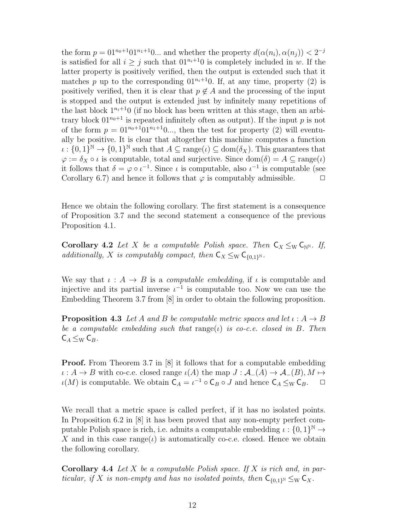the form  $p = 01^{n_0+1}01^{n_1+1}0...$  and whether the property  $d(\alpha(n_i), \alpha(n_j)) < 2^{-j}$ is satisfied for all  $i > j$  such that  $01^{n_i+1}0$  is completely included in w. If the latter property is positively verified, then the output is extended such that it matches p up to the corresponding  $01^{n_i+1}0$ . If, at any time, property (2) is positively verified, then it is clear that  $p \notin A$  and the processing of the input is stopped and the output is extended just by infinitely many repetitions of the last block  $1^{n_i+1}$ 0 (if no block has been written at this stage, then an arbitrary block  $01^{n_0+1}$  is repeated infinitely often as output). If the input p is not of the form  $p = 01^{n_0+1}01^{n_1+1}0...$ , then the test for property (2) will eventually be positive. It is clear that altogether this machine computes a function  $\iota : \{0,1\}^{\mathbb{N}} \to \{0,1\}^{\mathbb{N}}$  such that  $A \subseteq \text{range}(\iota) \subseteq \text{dom}(\delta_X)$ . This guarantees that  $\varphi := \delta_X \circ \iota$  is computable, total and surjective. Since  $\text{dom}(\delta) = A \subseteq \text{range}(\iota)$ it follows that  $\delta = \varphi \circ \iota^{-1}$ . Since  $\iota$  is computable, also  $\iota^{-1}$  is computable (see Corollary 6.7) and hence it follows that  $\varphi$  is computably admissible.  $\Box$ 

Hence we obtain the following corollary. The first statement is a consequence of Proposition 3.7 and the second statement a consequence of the previous Proposition 4.1.

Corollary 4.2 Let X be a computable Polish space. Then  $C_X \leq_W C_{\mathbb{N}^N}$ . If, additionally, X is computably compact, then  $C_X \leq_W C_{\{0,1\}^N}$ .

We say that  $\iota : A \to B$  is a *computable embedding*, if  $\iota$  is computable and injective and its partial inverse  $\iota^{-1}$  is computable too. Now we can use the Embedding Theorem 3.7 from [8] in order to obtain the following proposition.

**Proposition 4.3** Let A and B be computable metric spaces and let  $\iota: A \rightarrow B$ be a computable embedding such that  $range(t)$  is co-c.e. closed in B. Then  $\mathsf{C}_A \leq_{\mathrm{W}} \mathsf{C}_B$ .

**Proof.** From Theorem 3.7 in [8] it follows that for a computable embedding  $\iota: A \to B$  with co-c.e. closed range  $\iota(A)$  the map  $J: A_{-}(A) \to A_{-}(B), M \mapsto$  $\iota(M)$  is computable. We obtain  $C_A = \iota^{-1} \circ C_B \circ J$  and hence  $C_A \leq_{\mathrm{W}} C_B$ .  $\Box$ 

We recall that a metric space is called perfect, if it has no isolated points. In Proposition 6.2 in [8] it has been proved that any non-empty perfect computable Polish space is rich, i.e. admits a computable embedding  $\iota: \{0,1\}^{\mathbb{N}} \to$ X and in this case range( $\iota$ ) is automatically co-c.e. closed. Hence we obtain the following corollary.

**Corollary 4.4** Let X be a computable Polish space. If X is rich and, in particular, if X is non-empty and has no isolated points, then  $C_{\{0,1\}^{\mathbb{N}}} \leq_{\mathrm{W}} C_X$ .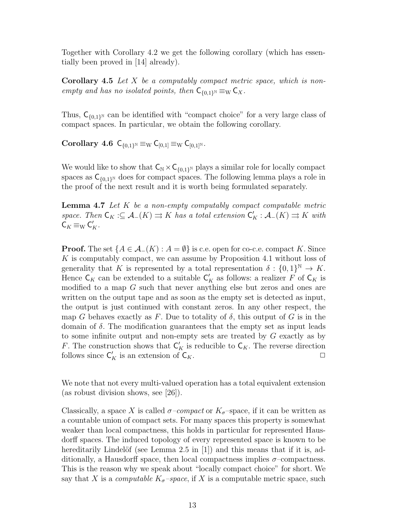Together with Corollary 4.2 we get the following corollary (which has essentially been proved in [14] already).

**Corollary 4.5** Let  $X$  be a computably compact metric space, which is nonempty and has no isolated points, then  $C_{\{0,1\}^{\mathbb{N}}} \equiv_{\mathrm{W}} C_X$ .

Thus,  $C_{\{0,1\}^{\mathbb{N}}}$  can be identified with "compact choice" for a very large class of compact spaces. In particular, we obtain the following corollary.

Corollary 4.6  $C_{\{0,1\}^{\mathbb{N}}} \equiv_{\mathrm{W}} C_{[0,1]} \equiv_{\mathrm{W}} C_{[0,1]^{\mathbb{N}}}.$ 

We would like to show that  $C_N \times C_{\{0,1\}^N}$  plays a similar role for locally compact spaces as  $C_{\{0,1\}^{\mathbb{N}}}$  does for compact spaces. The following lemma plays a role in the proof of the next result and it is worth being formulated separately.

**Lemma 4.7** Let  $K$  be a non-empty computably compact computable metric space. Then  $\mathsf{C}_K:\subseteq \mathcal{A}_-(K)\rightrightarrows K$  has a total extension  $\mathsf{C}_K':\mathcal{A}_-(K)\rightrightarrows K$  with  $\mathsf{C}_K \equiv_{\mathrm{W}} \mathsf{C}_K'.$ 

**Proof.** The set  $\{A \in \mathcal{A}_{-}(K) : A = \emptyset\}$  is c.e. open for co-c.e. compact K. Since K is computably compact, we can assume by Proposition 4.1 without loss of generality that K is represented by a total representation  $\delta: \{0,1\}^{\mathbb{N}} \to K$ . Hence  $\mathsf{C}_K$  can be extended to a suitable  $\mathsf{C}'_K$  as follows: a realizer F of  $\mathsf{C}_K$  is modified to a map G such that never anything else but zeros and ones are written on the output tape and as soon as the empty set is detected as input, the output is just continued with constant zeros. In any other respect, the map G behaves exactly as F. Due to totality of  $\delta$ , this output of G is in the domain of  $\delta$ . The modification guarantees that the empty set as input leads to some infinite output and non-empty sets are treated by G exactly as by F. The construction shows that  $\mathsf{C}_K'$  is reducible to  $\mathsf{C}_K$ . The reverse direction follows since  $C'_K$  is an extension of  $C_K$ .

We note that not every multi-valued operation has a total equivalent extension (as robust division shows, see [26]).

Classically, a space X is called  $\sigma$ -compact or  $K_{\sigma}$ -space, if it can be written as a countable union of compact sets. For many spaces this property is somewhat weaker than local compactness, this holds in particular for represented Hausdorff spaces. The induced topology of every represented space is known to be hereditarily Lindelöf (see Lemma 2.5 in  $[1]$ ) and this means that if it is, additionally, a Hausdorff space, then local compactness implies  $\sigma$ -compactness. This is the reason why we speak about "locally compact choice" for short. We say that X is a *computable K<sub>σ</sub>*-space, if X is a computable metric space, such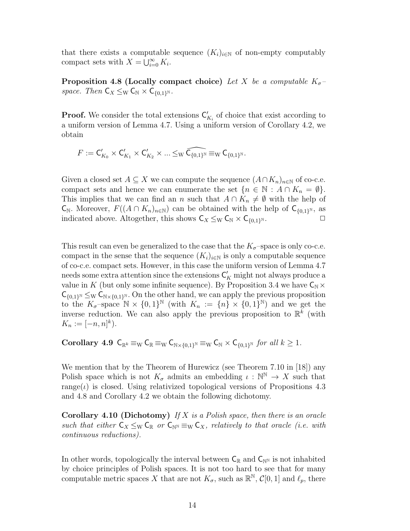that there exists a computable sequence  $(K_i)_{i\in\mathbb{N}}$  of non-empty computably compact sets with  $X = \bigcup_{i=0}^{\infty} K_i$ .

Proposition 4.8 (Locally compact choice) Let X be a computable  $K_{\sigma}$ space. Then  $C_X \leq_W C_N \times C_{\{0,1\}^N}$ .

**Proof.** We consider the total extensions  $C'_{K_i}$  of choice that exist according to a uniform version of Lemma 4.7. Using a uniform version of Corollary 4.2, we obtain

 $F:=\mathsf{C}_{K_0}'\times \mathsf{C}_{K_1}'\times \mathsf{C}_{K_2}'\times...\leq_{\mathrm{W}}\widehat{\mathsf{C}_{\{0,1\}^{\mathrm{N}}}}\ \equiv_{\mathrm{W}}\mathsf{C}_{\{0,1\}^{\mathrm{N}}}.$ 

Given a closed set  $A \subseteq X$  we can compute the sequence  $(A \cap K_n)_{n \in \mathbb{N}}$  of co-c.e. compact sets and hence we can enumerate the set  $\{n \in \mathbb{N} : A \cap K_n = \emptyset\}.$ This implies that we can find an n such that  $A \cap K_n \neq \emptyset$  with the help of  $\mathsf{C}_{\mathbb{N}}$ . Moreover,  $F((A \cap K_n)_{n \in \mathbb{N}})$  can be obtained with the help of  $\mathsf{C}_{\{0,1\}^{\mathbb{N}}},$  as indicated above. Altogether, this shows  $C_X \leq_W C_N \times C_{\{0,1\}^N}$ .  $N$ .  $\Box$ 

This result can even be generalized to the case that the  $K_{\sigma}$ -space is only co-c.e. compact in the sense that the sequence  $(K_i)_{i\in\mathbb{N}}$  is only a computable sequence of co-c.e. compact sets. However, in this case the uniform version of Lemma 4.7 needs some extra attention since the extensions  $\mathsf{C}_K'$  might not always produce a value in K (but only some infinite sequence). By Proposition 3.4 we have  $C_N \times$  $\mathsf{C}_{\{0,1\}^{\mathbb{N}}}\leq_{\mathrm{W}} \mathsf{C}_{\mathbb{N}\times\{0,1\}^{\mathbb{N}}}$ . On the other hand, we can apply the previous proposition to the  $K_{\sigma}$ -space  $\mathbb{N} \times \{0,1\}^{\mathbb{N}}$  (with  $K_n := \{n\} \times \{0,1\}^{\mathbb{N}}$ ) and we get the inverse reduction. We can also apply the previous proposition to  $\mathbb{R}^k$  (with  $K_n := [-n, n]^k$ .

Corollary 4.9  $C_{\mathbb{R}^k} \equiv_{\mathrm{W}} C_{\mathbb{R}} \equiv_{\mathrm{W}} C_{\mathbb{N} \times \{0,1\}^{\mathbb{N}}} \equiv_{\mathrm{W}} C_{\mathbb{N}} \times C_{\{0,1\}^{\mathbb{N}}}$  for all  $k \geq 1$ .

We mention that by the Theorem of Hurewicz (see Theorem 7.10 in [18]) any Polish space which is not  $K_{\sigma}$  admits an embedding  $\iota : \mathbb{N}^{\mathbb{N}} \to X$  such that range( $\iota$ ) is closed. Using relativized topological versions of Propositions 4.3 and 4.8 and Corollary 4.2 we obtain the following dichotomy.

**Corollary 4.10 (Dichotomy)** If X is a Polish space, then there is an oracle such that either  $C_X \leq_W C_{\mathbb{R}}$  or  $C_{\mathbb{N}} \equiv_W C_X$ , relatively to that oracle (i.e. with continuous reductions).

In other words, topologically the interval between  $C_{\mathbb{R}}$  and  $C_{\mathbb{N}}$  is not inhabited by choice principles of Polish spaces. It is not too hard to see that for many computable metric spaces X that are not  $K_{\sigma}$ , such as  $\mathbb{R}^{\mathbb{N}}, C[0,1]$  and  $\ell_p$ , there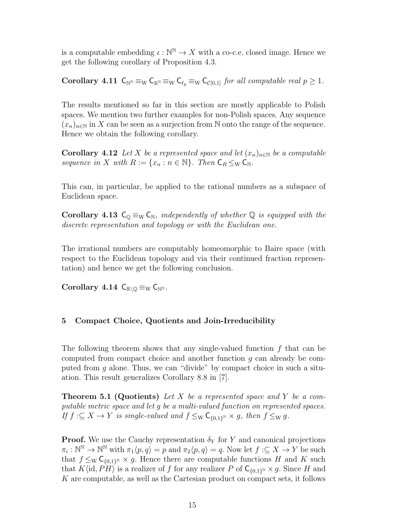is a computable embedding  $\iota : \mathbb{N}^{\mathbb{N}} \to X$  with a co-c.e. closed image. Hence we get the following corollary of Proposition 4.3.

Corollary 4.11  $C_{\mathbb{N}} \equiv_{\mathbb{W}} C_{\mathbb{R}} \equiv_{\mathbb{W}} C_{\ell_p} \equiv_{\mathbb{W}} C_{\mathcal{C}[0,1]}$  for all computable real  $p \geq 1$ .

The results mentioned so far in this section are mostly applicable to Polish spaces. We mention two further examples for non-Polish spaces. Any sequence  $(x_n)_{n\in\mathbb{N}}$  in X can be seen as a surjection from N onto the range of the sequence. Hence we obtain the following corollary.

**Corollary 4.12** Let X be a represented space and let  $(x_n)_{n\in\mathbb{N}}$  be a computable sequence in X with  $R := \{x_n : n \in \mathbb{N}\}\$ . Then  $C_R \leq_W C_N$ .

This can, in particular, be applied to the rational numbers as a subspace of Euclidean space.

Corollary 4.13  $C_{\mathbb{Q}} \equiv_{\mathbb{W}} C_{\mathbb{N}}$ , independently of whether  $\mathbb{Q}$  is equipped with the discrete representation and topology or with the Euclidean one.

The irrational numbers are computably homeomorphic to Baire space (with respect to the Euclidean topology and via their continued fraction representation) and hence we get the following conclusion.

Corollary 4.14  $C_{\mathbb{R}\setminus\mathbb{O}} \equiv_{\mathrm{W}} C_{\mathbb{N}^{\mathbb{N}}}$ .

# 5 Compact Choice, Quotients and Join-Irreducibility

The following theorem shows that any single-valued function  $f$  that can be computed from compact choice and another function  $q$  can already be computed from g alone. Thus, we can "divide" by compact choice in such a situation. This result generalizes Corollary 8.8 in [7].

**Theorem 5.1 (Quotients)** Let X be a represented space and Y be a computable metric space and let g be a multi-valued function on represented spaces. If  $f: \subseteq X \to Y$  is single-valued and  $f \leq_{\mathrm{W}} \mathsf{C}_{\{0,1\}^{\mathbb{N}}} \times g$ , then  $f \leq_{\mathrm{W}} g$ .

**Proof.** We use the Cauchy representation  $\delta_Y$  for Y and canonical projections  $\pi_i: \mathbb{N}^{\mathbb{N}} \to \mathbb{N}^{\mathbb{N}}$  with  $\pi_1\langle p, q \rangle = p$  and  $\pi_2\langle p, q \rangle = q$ . Now let  $f: \subseteq X \to Y$  be such that  $f \leq_{\mathrm{W}} \mathsf{C}_{\{0,1\}^{\mathbb{N}}} \times g$ . Hence there are computable functions H and K such that  $K\langle \mathrm{id}, P\overleftrightarrow{H} \rangle$  is a realizer of f for any realizer P of  $\mathsf{C}_{\{0,1\}^{\mathbb{N}}} \times g$ . Since H and K are computable, as well as the Cartesian product on compact sets, it follows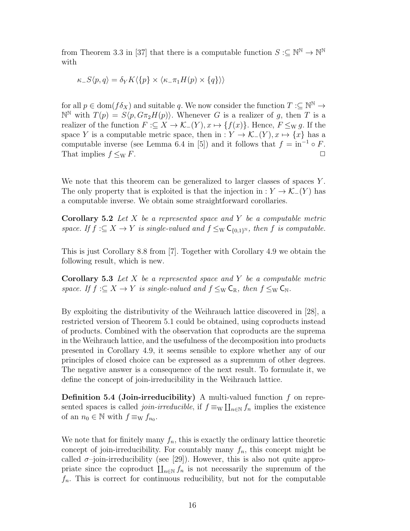from Theorem 3.3 in [37] that there is a computable function  $S: \subseteq \mathbb{N}^{\mathbb{N}} \to \mathbb{N}^{\mathbb{N}}$ with

$$
\kappa_{-}S\langle p,q\rangle = \delta_{Y}K\langle\{p\}\times\langle\kappa_{-}\pi_{1}H(p)\times\{q\}\rangle\rangle
$$

for all  $p \in \text{dom}(f \delta_X)$  and suitable q. We now consider the function  $T : \subseteq \mathbb{N}^{\mathbb{N}} \to$  $\mathbb{N}^{\mathbb{N}}$  with  $T(p) = S\langle p, G\pi_2H(p)\rangle$ . Whenever G is a realizer of g, then T is a realizer of the function  $F:\subseteq X\to\mathcal{K}_-(Y), x\mapsto \{f(x)\}\.$  Hence,  $F\leq_{\rm W} g$ . If the space Y is a computable metric space, then in :  $Y \to \mathcal{K}_-(Y), x \mapsto \{x\}$  has a computable inverse (see Lemma 6.4 in [5]) and it follows that  $f = \text{in}^{-1} \circ F$ . That implies  $f \leq_{\mathrm{W}} F$ .

We note that this theorem can be generalized to larger classes of spaces  $Y$ . The only property that is exploited is that the injection in :  $Y \to \mathcal{K}_-(Y)$  has a computable inverse. We obtain some straightforward corollaries.

**Corollary 5.2** Let  $X$  be a represented space and  $Y$  be a computable metric space. If  $f: \subseteq X \to Y$  is single-valued and  $f \leq_{\mathrm{W}} \mathsf{C}_{\{0,1\}^{\mathbb{N}}},$  then f is computable.

This is just Corollary 8.8 from [7]. Together with Corollary 4.9 we obtain the following result, which is new.

**Corollary 5.3** Let  $X$  be a represented space and  $Y$  be a computable metric space. If  $f : \subseteq X \to Y$  is single-valued and  $f \leq_{\mathbb{W}} \mathsf{C}_{\mathbb{R}}$ , then  $f \leq_{\mathbb{W}} \mathsf{C}_{\mathbb{N}}$ .

By exploiting the distributivity of the Weihrauch lattice discovered in [28], a restricted version of Theorem 5.1 could be obtained, using coproducts instead of products. Combined with the observation that coproducts are the suprema in the Weihrauch lattice, and the usefulness of the decomposition into products presented in Corollary 4.9, it seems sensible to explore whether any of our principles of closed choice can be expressed as a supremum of other degrees. The negative answer is a consequence of the next result. To formulate it, we define the concept of join-irreducibility in the Weihrauch lattice.

**Definition 5.4 (Join-irreducibility)** A multi-valued function  $f$  on represented spaces is called *join-irreducible*, if  $f \equiv_{\text{W}} \prod_{n \in \text{N}} f_n$  implies the existence of an  $n_0 \in \mathbb{N}$  with  $f \equiv_{\mathbf{W}} f_{n_0}$ .

We note that for finitely many  $f_n$ , this is exactly the ordinary lattice theoretic concept of join-irreducibility. For countably many  $f_n$ , this concept might be called  $\sigma$ -join-irreducibility (see [29]). However, this is also not quite appropriate since the coproduct  $\prod_{n\in\mathbb{N}} f_n$  is not necessarily the supremum of the  $f_n$ . This is correct for continuous reducibility, but not for the computable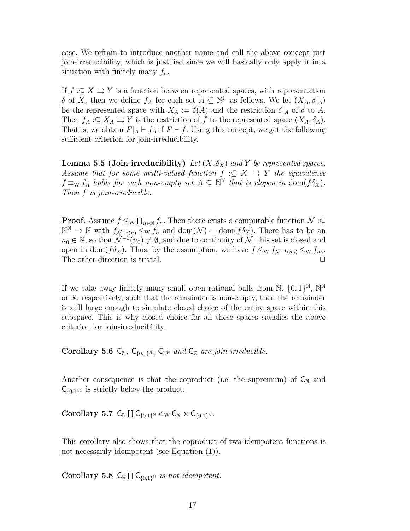case. We refrain to introduce another name and call the above concept just join-irreducibility, which is justified since we will basically only apply it in a situation with finitely many  $f_n$ .

If  $f: \subseteq X \rightrightarrows Y$  is a function between represented spaces, with representation δ of X, then we define  $f_A$  for each set  $A \subseteq \mathbb{N}^{\mathbb{N}}$  as follows. We let  $(X_A, \delta|_A)$ be the represented space with  $X_A := \delta(A)$  and the restriction  $\delta|_A$  of  $\delta$  to A. Then  $f_A: \subseteq X_A \rightrightarrows Y$  is the restriction of f to the represented space  $(X_A, \delta_A)$ . That is, we obtain  $F|_A \vdash f_A$  if  $F \vdash f$ . Using this concept, we get the following sufficient criterion for join-irreducibility.

**Lemma 5.5 (Join-irreducibility)** Let  $(X, \delta_X)$  and Y be represented spaces. Assume that for some multi-valued function  $f : \subseteq X \implies Y$  the equivalence  $f \equiv_{\mathrm{W}} f_A$  holds for each non-empty set  $A \subseteq \mathbb{N}^{\mathbb{N}}$  that is clopen in  $\mathrm{dom}(f \delta_X)$ . Then f is join-irreducible.

**Proof.** Assume  $f \leq_{\text{W}} \coprod_{n \in \mathbb{N}} f_n$ . Then there exists a computable function  $\mathcal{N} : \subseteq$  $\mathbb{N}^{\mathbb{N}} \to \mathbb{N}$  with  $f_{\mathcal{N}^{-1}(n)} \leq_{\mathrm{W}} f_n$  and  $\text{dom}(\mathcal{N}) = \text{dom}(f \delta_X)$ . There has to be an  $n_0 \in \mathbb{N}$ , so that  $\mathcal{N}^{-1}(n_0) \neq \emptyset$ , and due to continuity of  $\mathcal{N}$ , this set is closed and open in dom( $f \delta_X$ ). Thus, by the assumption, we have  $f \leq_W f_{\mathcal{N}^{-1}(n_0)} \leq_W f_{n_0}$ . The other direction is trivial.

If we take away finitely many small open rational balls from  $\mathbb{N}, \{0, 1\}^{\mathbb{N}}, \mathbb{N}^{\mathbb{N}}$ or R, respectively, such that the remainder is non-empty, then the remainder is still large enough to simulate closed choice of the entire space within this subspace. This is why closed choice for all these spaces satisfies the above criterion for join-irreducibility.

Corollary 5.6  $C_N$ ,  $C_{\{0,1\}^N}$ ,  $C_{\mathbb{N}^N}$  and  $C_{\mathbb{R}}$  are join-irreducible.

Another consequence is that the coproduct (i.e. the supremum) of  $C_N$  and  $\mathsf{C}_{\{0,1\}^{\mathbb{N}}}$  is strictly below the product.

 $\textbf{Corollary 5.7 } C_{\mathbb{N}} \coprod C_{\{0,1\}^{\mathbb{N}}} <_{\mathbb{W}} C_{\mathbb{N}} \times C_{\{0,1\}^{\mathbb{N}}}.$ 

This corollary also shows that the coproduct of two idempotent functions is not necessarily idempotent (see Equation (1)).

Corollary 5.8  $C_{\mathbb{N}} \coprod C_{\{0,1\}^{\mathbb{N}}}$  is not idempotent.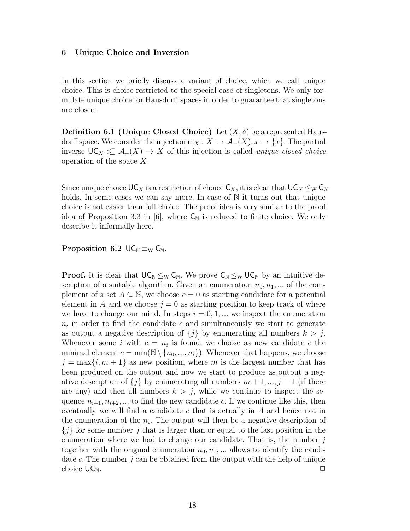#### 6 Unique Choice and Inversion

In this section we briefly discuss a variant of choice, which we call unique choice. This is choice restricted to the special case of singletons. We only formulate unique choice for Hausdorff spaces in order to guarantee that singletons are closed.

**Definition 6.1 (Unique Closed Choice)** Let  $(X, \delta)$  be a represented Hausdorff space. We consider the injection in $_X: X \hookrightarrow \mathcal{A}_-(X), x \mapsto \{x\}$ . The partial inverse  $\mathsf{UC}_X : \subseteq \mathcal{A}_-(X) \to X$  of this injection is called *unique closed choice* operation of the space X.

Since unique choice  $\mathsf{UC}_X$  is a restriction of choice  $\mathsf{C}_X$ , it is clear that  $\mathsf{UC}_X \leq_{\mathrm{W}} \mathsf{C}_X$ holds. In some cases we can say more. In case of N it turns out that unique choice is not easier than full choice. The proof idea is very similar to the proof idea of Proposition 3.3 in [6], where  $C_N$  is reduced to finite choice. We only describe it informally here.

Proposition 6.2  $\mathsf{UC}_{\mathbb{N}} \equiv_{\mathbb{W}} \mathsf{C}_{\mathbb{N}}$ .

**Proof.** It is clear that  $UC_N \leq_W C_N$ . We prove  $C_N \leq_W UC_N$  by an intuitive description of a suitable algorithm. Given an enumeration  $n_0, n_1, ...$  of the complement of a set  $A \subseteq \mathbb{N}$ , we choose  $c = 0$  as starting candidate for a potential element in A and we choose  $j = 0$  as starting position to keep track of where we have to change our mind. In steps  $i = 0, 1, ...$  we inspect the enumeration  $n_i$  in order to find the candidate c and simultaneously we start to generate as output a negative description of  $\{j\}$  by enumerating all numbers  $k > j$ . Whenever some *i* with  $c = n_i$  is found, we choose as new candidate *c* the minimal element  $c = \min(N \setminus \{n_0, ..., n_i\})$ . Whenever that happens, we choose  $j = \max\{i, m + 1\}$  as new position, where m is the largest number that has been produced on the output and now we start to produce as output a negative description of  $\{j\}$  by enumerating all numbers  $m+1, ..., j-1$  (if there are any) and then all numbers  $k > j$ , while we continue to inspect the sequence  $n_{i+1}, n_{i+2}, \dots$  to find the new candidate c. If we continue like this, then eventually we will find a candidate  $c$  that is actually in  $A$  and hence not in the enumeration of the  $n_i$ . The output will then be a negative description of  ${j}$  for some number j that is larger than or equal to the last position in the enumeration where we had to change our candidate. That is, the number  $j$ together with the original enumeration  $n_0, n_1, \dots$  allows to identify the candidate  $c$ . The number  $j$  can be obtained from the output with the help of unique choice  $\mathsf{UC}_\mathbb{N}$ .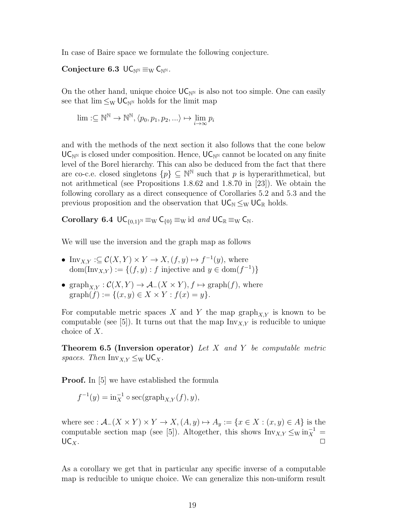In case of Baire space we formulate the following conjecture.

Conjecture 6.3  $UC_{\mathbb{N}^{\mathbb{N}}} \equiv_{\mathbb{W}} C_{\mathbb{N}^{\mathbb{N}}}$ .

On the other hand, unique choice  $\mathsf{UC}_{\mathbb{N}^{\mathbb{N}}}$  is also not too simple. One can easily see that  $\lim \leq_W \mathsf{UC}_{\mathbb{N}^{\mathbb{N}}}$  holds for the limit map

$$
\lim_{i \to \infty} \mathbb{R}^{\mathbb{N}} \to \mathbb{N}^{\mathbb{N}}, \langle p_0, p_1, p_2, \ldots \rangle \mapsto \lim_{i \to \infty} p_i
$$

and with the methods of the next section it also follows that the cone below  $\mathsf{UC}_{\mathbb{N}^{\mathbb{N}}}$  is closed under composition. Hence,  $\mathsf{UC}_{\mathbb{N}^{\mathbb{N}}}$  cannot be located on any finite level of the Borel hierarchy. This can also be deduced from the fact that there are co-c.e. closed singletons  $\{p\} \subseteq \mathbb{N}^{\mathbb{N}}$  such that p is hyperarithmetical, but not arithmetical (see Propositions 1.8.62 and 1.8.70 in [23]). We obtain the following corollary as a direct consequence of Corollaries 5.2 and 5.3 and the previous proposition and the observation that  $\mathsf{UC}_{\mathbb{N}} \leq_{\mathrm{W}} \mathsf{UC}_{\mathbb{R}}$  holds.

Corollary 6.4  $UC_{\{0,1\}^{\mathbb{N}}} \equiv_{\mathrm{W}} \mathsf{C}_{\{0\}} \equiv_{\mathrm{W}} \mathrm{id}$  and  $UC_{\mathbb{R}} \equiv_{\mathrm{W}} \mathsf{C}_{\mathbb{N}}$ .

We will use the inversion and the graph map as follows

- Inv<sub>X,Y</sub> : $\subseteq \mathcal{C}(X,Y) \times Y \to X$ ,  $(f, y) \mapsto f^{-1}(y)$ , where dom(Inv<sub>X,Y</sub>) := {(f, y) : f injective and  $y \in \text{dom}(f^{-1})$ }
- graph<sub>X,Y</sub> :  $C(X, Y) \to A_{-}(X \times Y), f \mapsto \text{graph}(f)$ , where  $graph(f) := \{(x, y) \in X \times Y : f(x) = y\}.$

For computable metric spaces X and Y the map  $\mathrm{graph}_{X,Y}$  is known to be computable (see [5]). It turns out that the map  $\text{Inv}_{X,Y}$  is reducible to unique choice of X.

**Theorem 6.5 (Inversion operator)** Let  $X$  and  $Y$  be computable metric spaces. Then  $\text{Inv}_{X,Y} \leq_{\text{W}} \text{UC}_X$ .

Proof. In [5] we have established the formula

$$
f^{-1}(y) = \operatorname{in}_{X}^{-1} \circ \operatorname{sec}(\operatorname{graph}_{X,Y}(f), y),
$$

where sec :  $\mathcal{A}_-(X \times Y) \times Y \to X$ ,  $(A, y) \mapsto A_y := \{x \in X : (x, y) \in A\}$  is the computable section map (see [5]). Altogether, this shows  $\text{Inv}_{X,Y} \leq_{\text{W}} \text{in}_X^{-1}$  $\mathsf{UC}_X$ .

As a corollary we get that in particular any specific inverse of a computable map is reducible to unique choice. We can generalize this non-uniform result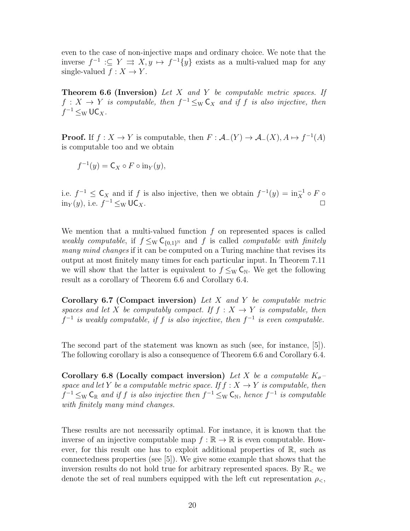even to the case of non-injective maps and ordinary choice. We note that the inverse  $f^{-1} \subseteq Y \implies X, y \mapsto f^{-1}{y}$  exists as a multi-valued map for any single-valued  $f: X \to Y$ .

**Theorem 6.6 (Inversion)** Let X and Y be computable metric spaces. If  $f: X \to Y$  is computable, then  $f^{-1} \leq_{\mathrm{W}} \mathsf{C}_X$  and if f is also injective, then  $f^{-1} \leq_{\mathrm{W}} \mathsf{UC}_X.$ 

**Proof.** If  $f: X \to Y$  is computable, then  $F: \mathcal{A}_-(Y) \to \mathcal{A}_-(X), A \mapsto f^{-1}(A)$ is computable too and we obtain

$$
f^{-1}(y) = \mathsf{C}_X \circ F \circ \text{in}_Y(y),
$$

i.e.  $f^{-1} \leq \mathsf{C}_X$  and if f is also injective, then we obtain  $f^{-1}(y) = \text{in}_X^{-1} \circ F$  $\text{in}_Y(y)$ , i.e.  $f^{-1}$  ≤w UC<sub>X</sub>.  $\Box$ 

We mention that a multi-valued function  $f$  on represented spaces is called weakly computable, if  $f \leq_{\mathrm{W}} \mathsf{C}_{\{0,1\}^{\mathrm{N}}}$  and f is called computable with finitely many mind changes if it can be computed on a Turing machine that revises its output at most finitely many times for each particular input. In Theorem 7.11 we will show that the latter is equivalent to  $f \leq_W \mathsf{C}_\mathbb{N}$ . We get the following result as a corollary of Theorem 6.6 and Corollary 6.4.

Corollary 6.7 (Compact inversion) Let X and Y be computable metric spaces and let X be computably compact. If  $f : X \rightarrow Y$  is computable, then  $f^{-1}$  is weakly computable, if f is also injective, then  $f^{-1}$  is even computable.

The second part of the statement was known as such (see, for instance, [5]). The following corollary is also a consequence of Theorem 6.6 and Corollary 6.4.

Corollary 6.8 (Locally compact inversion) Let X be a computable  $K_{\sigma}$ space and let Y be a computable metric space. If  $f : X \to Y$  is computable, then  $f^{-1} \leq_{\rm W} \mathsf{C}_{\mathbb{R}}$  and if f is also injective then  $f^{-1} \leq_{\rm W} \mathsf{C}_{\mathbb{N}}$ , hence  $f^{-1}$  is computable with finitely many mind changes.

These results are not necessarily optimal. For instance, it is known that the inverse of an injective computable map  $f : \mathbb{R} \to \mathbb{R}$  is even computable. However, for this result one has to exploit additional properties of R, such as connectedness properties (see [5]). We give some example that shows that the inversion results do not hold true for arbitrary represented spaces. By  $\mathbb{R}_{\leq}$  we denote the set of real numbers equipped with the left cut representation  $\rho_{\leq}$ ,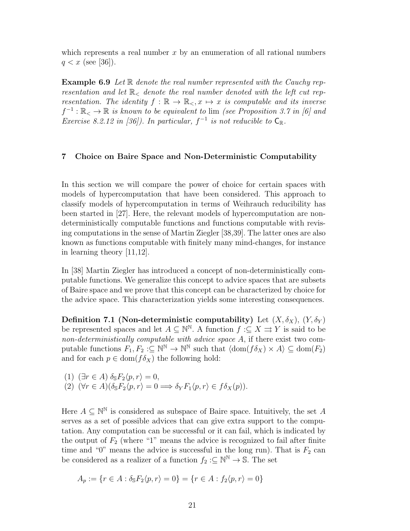which represents a real number  $x$  by an enumeration of all rational numbers  $q < x$  (see [36]).

**Example 6.9** Let R denote the real number represented with the Cauchy representation and let  $\mathbb{R}_{\leq}$  denote the real number denoted with the left cut representation. The identity  $f : \mathbb{R} \to \mathbb{R}_\leq$ ,  $x \mapsto x$  is computable and its inverse  $f^{-1}: \mathbb{R}_{<} \to \mathbb{R}$  is known to be equivalent to lim (see Proposition 3.7 in [6] and Exercise 8.2.12 in [36]). In particular,  $f^{-1}$  is not reducible to  $C_{\mathbb{R}}$ .

# 7 Choice on Baire Space and Non-Deterministic Computability

In this section we will compare the power of choice for certain spaces with models of hypercomputation that have been considered. This approach to classify models of hypercomputation in terms of Weihrauch reducibility has been started in [27]. Here, the relevant models of hypercomputation are nondeterministically computable functions and functions computable with revising computations in the sense of Martin Ziegler [38,39]. The latter ones are also known as functions computable with finitely many mind-changes, for instance in learning theory [11,12].

In [38] Martin Ziegler has introduced a concept of non-deterministically computable functions. We generalize this concept to advice spaces that are subsets of Baire space and we prove that this concept can be characterized by choice for the advice space. This characterization yields some interesting consequences.

Definition 7.1 (Non-deterministic computability) Let  $(X, \delta_X)$ ,  $(Y, \delta_Y)$ be represented spaces and let  $A \subseteq \mathbb{N}^{\mathbb{N}}$ . A function  $f : \subseteq X \rightrightarrows Y$  is said to be non-deterministically computable with advice space A, if there exist two computable functions  $F_1, F_2 : \subseteq \mathbb{N}^{\mathbb{N}} \to \mathbb{N}^{\mathbb{N}}$  such that  $\langle \text{dom}(f \delta_X) \times A \rangle \subseteq \text{dom}(F_2)$ and for each  $p \in \text{dom}(f \delta_X)$  the following hold:

(1) 
$$
(\exists r \in A) \delta_{\mathbb{S}} F_2 \langle p, r \rangle = 0
$$
,  
(2)  $(\forall r \in A)(\delta_{\mathbb{S}} F_2 \langle p, r \rangle = 0 \Longrightarrow \delta_Y F_1 \langle p, r \rangle \in f \delta_X(p)).$ 

Here  $A \subseteq \mathbb{N}^{\mathbb{N}}$  is considered as subspace of Baire space. Intuitively, the set A serves as a set of possible advices that can give extra support to the computation. Any computation can be successful or it can fail, which is indicated by the output of  $F_2$  (where "1" means the advice is recognized to fail after finite time and "0" means the advice is successful in the long run). That is  $F_2$  can be considered as a realizer of a function  $f_2: \subseteq \mathbb{N}^{\mathbb{N}} \to \mathbb{S}$ . The set

$$
A_p := \{r \in A : \delta_8 F_2 \langle p, r \rangle = 0\} = \{r \in A : f_2 \langle p, r \rangle = 0\}
$$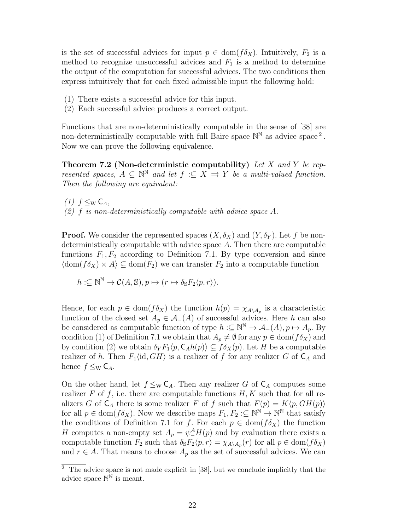is the set of successful advices for input  $p \in \text{dom}(f \delta_X)$ . Intuitively,  $F_2$  is a method to recognize unsuccessful advices and  $F_1$  is a method to determine the output of the computation for successful advices. The two conditions then express intuitively that for each fixed admissible input the following hold:

- (1) There exists a successful advice for this input.
- (2) Each successful advice produces a correct output.

Functions that are non-deterministically computable in the sense of [38] are non-deterministically computable with full Baire space  $\mathbb{N}^{\mathbb{N}}$  as advice space<sup>2</sup>. Now we can prove the following equivalence.

**Theorem 7.2 (Non-deterministic computability)** Let X and Y be represented spaces,  $A \subseteq \mathbb{N}^{\mathbb{N}}$  and let  $f : \subseteq X \implies Y$  be a multi-valued function. Then the following are equivalent:

 $(1)$   $f \leq_W C_A$  $(2)$  f is non-deterministically computable with advice space A.

**Proof.** We consider the represented spaces  $(X, \delta_X)$  and  $(Y, \delta_Y)$ . Let f be nondeterministically computable with advice space A. Then there are computable functions  $F_1, F_2$  according to Definition 7.1. By type conversion and since  $\langle \text{dom}(f \delta_X) \times A \rangle \subseteq \text{dom}(F_2)$  we can transfer  $F_2$  into a computable function

$$
h:\subseteq\mathbb{N}^{\mathbb{N}}\to\mathcal{C}(A,\mathbb{S}),p\mapsto(r\mapsto\delta_{\mathbb{S}}F_2\langle p,r\rangle).
$$

Hence, for each  $p \in \text{dom}(f \delta_X)$  the function  $h(p) = \chi_{A \setminus A_p}$  is a characteristic function of the closed set  $A_p \in \mathcal{A}_-(A)$  of successful advices. Here h can also be considered as computable function of type  $h:\subseteq\mathbb{N}^{\mathbb{N}}\to\mathcal{A}_{-}(A), p\mapsto A_{p}$ . By condition (1) of Definition 7.1 we obtain that  $A_p \neq \emptyset$  for any  $p \in \text{dom}(f \delta_X)$  and by condition (2) we obtain  $\delta_Y F_1(p, \mathsf{C}_A h(p)) \subseteq f \delta_X(p)$ . Let H be a computable realizer of h. Then  $F_1\langle id, GH\rangle$  is a realizer of f for any realizer G of  $C_A$  and hence  $f \leq_W \mathsf{C}_A$ .

On the other hand, let  $f \leq_W \mathsf{C}_A$ . Then any realizer G of  $\mathsf{C}_A$  computes some realizer F of f, i.e. there are computable functions  $H, K$  such that for all realizers G of  $C_A$  there is some realizer F of f such that  $F(p) = K\langle p, GH(p)\rangle$ for all  $p \in \text{dom}(f\delta_X)$ . Now we describe maps  $F_1, F_2 : \subseteq \mathbb{N}^{\mathbb{N}} \to \mathbb{N}^{\mathbb{N}}$  that satisfy the conditions of Definition 7.1 for f. For each  $p \in \text{dom}(f \delta_X)$  the function H computes a non-empty set  $A_p = \psi_-^A H(p)$  and by evaluation there exists a computable function  $F_2$  such that  $\delta_{\mathbb{S}} F_2\langle p, r \rangle = \chi_{A \setminus A_p}(r)$  for all  $p \in \text{dom}(f \delta_X)$ and  $r \in A$ . That means to choose  $A_p$  as the set of successful advices. We can

<sup>&</sup>lt;sup>2</sup> The advice space is not made explicit in [38], but we conclude implicitly that the advice space  $\mathbb{N}^{\mathbb{N}}$  is meant.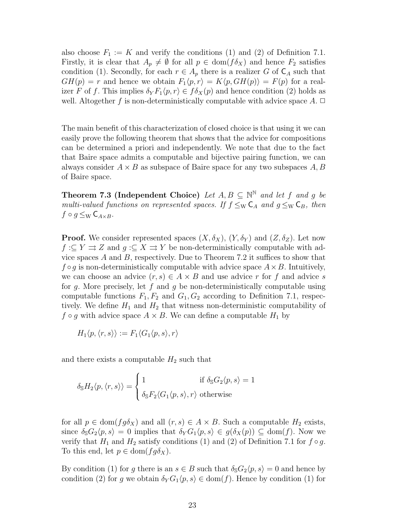also choose  $F_1 := K$  and verify the conditions (1) and (2) of Definition 7.1. Firstly, it is clear that  $A_p \neq \emptyset$  for all  $p \in \text{dom}(f \delta_X)$  and hence  $F_2$  satisfies condition (1). Secondly, for each  $r \in A_p$  there is a realizer G of  $C_A$  such that  $GH(p) = r$  and hence we obtain  $F_1(p, r) = K(p, GH(p)) = F(p)$  for a realizer F of f. This implies  $\delta_Y F_1 \langle p, r \rangle \in f \delta_X (p)$  and hence condition (2) holds as well. Altogether f is non-deterministically computable with advice space  $A$ .  $\Box$ 

The main benefit of this characterization of closed choice is that using it we can easily prove the following theorem that shows that the advice for compositions can be determined a priori and independently. We note that due to the fact that Baire space admits a computable and bijective pairing function, we can always consider  $A \times B$  as subspace of Baire space for any two subspaces  $A, B$ of Baire space.

**Theorem 7.3 (Independent Choice)** Let  $A, B \subseteq \mathbb{N}^{\mathbb{N}}$  and let f and g be multi-valued functions on represented spaces. If  $f \leq_{\mathrm{W}} C_A$  and  $g \leq_{\mathrm{W}} C_B$ , then  $f \circ g \leq_{\mathrm{W}} \mathsf{C}_{A \times B}$ .

**Proof.** We consider represented spaces  $(X, \delta_X)$ ,  $(Y, \delta_Y)$  and  $(Z, \delta_Z)$ . Let now  $f:\subseteq Y \rightrightarrows Z$  and  $g:\subseteq X \rightrightarrows Y$  be non-deterministically computable with advice spaces  $A$  and  $B$ , respectively. Due to Theorem 7.2 it suffices to show that  $f \circ g$  is non-deterministically computable with advice space  $A \times B$ . Intuitively, we can choose an advice  $(r, s) \in A \times B$  and use advice r for f and advice s for g. More precisely, let  $f$  and  $g$  be non-deterministically computable using computable functions  $F_1, F_2$  and  $G_1, G_2$  according to Definition 7.1, respectively. We define  $H_1$  and  $H_2$  that witness non-deterministic computability of  $f \circ g$  with advice space  $A \times B$ . We can define a computable  $H_1$  by

$$
H_1\langle p, \langle r, s \rangle \rangle := F_1\langle G_1 \langle p, s \rangle, r \rangle
$$

and there exists a computable  $H_2$  such that

$$
\delta_{\mathbb{S}}H_2\langle p, \langle r, s \rangle \rangle = \begin{cases} 1 & \text{if } \delta_{\mathbb{S}}G_2\langle p, s \rangle = 1 \\ \delta_{\mathbb{S}}F_2\langle G_1\langle p, s \rangle, r \rangle & \text{otherwise} \end{cases}
$$

for all  $p \in \text{dom}(fg\delta_X)$  and all  $(r, s) \in A \times B$ . Such a computable  $H_2$  exists, since  $\delta_{\mathbb{S}}G_2\langle p, s \rangle = 0$  implies that  $\delta_Y G_1\langle p, s \rangle \in g(\delta_X(p)) \subseteq \text{dom}(f)$ . Now we verify that  $H_1$  and  $H_2$  satisfy conditions (1) and (2) of Definition 7.1 for  $f \circ g$ . To this end, let  $p \in \text{dom}(fg\delta_X)$ .

By condition (1) for g there is an  $s \in B$  such that  $\delta_{\mathbb{S}}G_2\langle p, s \rangle = 0$  and hence by condition (2) for g we obtain  $\delta_Y G_1 \langle p, s \rangle \in \text{dom}(f)$ . Hence by condition (1) for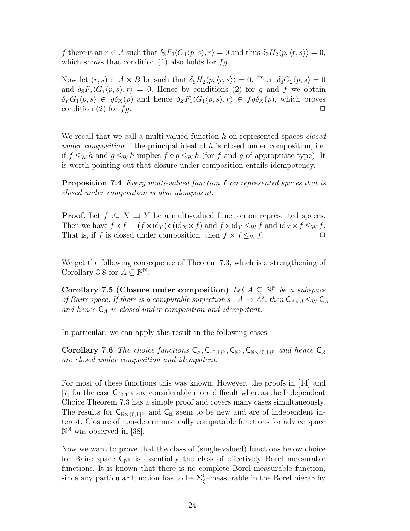f there is an  $r \in A$  such that  $\delta_{S}F_{2}\langle G_{1}\langle p, s\rangle, r\rangle = 0$  and thus  $\delta_{S}H_{2}\langle p, \langle r, s\rangle \rangle = 0$ , which shows that condition  $(1)$  also holds for  $fg$ .

Now let  $(r, s) \in A \times B$  be such that  $\delta_{\mathbb{S}}H_2\langle p,\langle r, s \rangle\rangle = 0$ . Then  $\delta_{\mathbb{S}}G_2\langle p, s \rangle = 0$ and  $\delta_{\mathcal{S}}F_2\langle G_1\langle p, s\rangle, r\rangle = 0$ . Hence by conditions (2) for g and f we obtain  $\delta_Y G_1 \langle p, s \rangle \in g \delta_X(p)$  and hence  $\delta_Z F_1 \langle G_1 \langle p, s \rangle, r \rangle \in f g \delta_X(p)$ , which proves condition (2) for  $fg$ .

We recall that we call a multi-valued function  $h$  on represented spaces *closed* under composition if the principal ideal of  $h$  is closed under composition, i.e. if  $f \leq_{\mathrm{W}} h$  and  $g \leq_{\mathrm{W}} h$  implies  $f \circ g \leq_{\mathrm{W}} h$  (for f and g of appropriate type). It is worth pointing out that closure under composition entails idempotency.

**Proposition 7.4** Every multi-valued function f on represented spaces that is closed under composition is also idempotent.

**Proof.** Let  $f : \subseteq X \implies Y$  be a multi-valued function on represented spaces. Then we have  $f \times f = (f \times id_Y) \circ (id_X \times f)$  and  $f \times id_Y \leq_W f$  and  $id_X \times f \leq_W f$ . That is, if f is closed under composition, then  $f \times f \leq_W f$ .  $\Box$ 

We get the following consequence of Theorem 7.3, which is a strengthening of Corollary 3.8 for  $A \subseteq \mathbb{N}^{\mathbb{N}}$ .

Corollary 7.5 (Closure under composition) Let  $A \subseteq \mathbb{N}^{\mathbb{N}}$  be a subspace of Baire space. If there is a computable surjection  $s: A \to A^2$ , then  $C_{A \times A} \leq_W C_A$ and hence  $C_A$  is closed under composition and idempotent.

In particular, we can apply this result in the following cases.

Corollary 7.6 The choice functions  $C_{\mathbb{N}}, C_{\{0,1\}^{\mathbb{N}}}, C_{\mathbb{N}^{\mathbb{N}}}, C_{\mathbb{N}\times\{0,1\}^{\mathbb{N}}}$  and hence  $C_{\mathbb{R}}$ are closed under composition and idempotent.

For most of these functions this was known. However, the proofs in [14] and [7] for the case  $C_{\{0,1\}^{\mathbb{N}}}$  are considerably more difficult whereas the Independent Choice Theorem 7.3 has a simple proof and covers many cases simultaneously. The results for  $C_{\mathbb{N}\times\{0,1\}^{\mathbb{N}}}$  and  $C_{\mathbb{R}}$  seem to be new and are of independent interest. Closure of non-deterministically computable functions for advice space  $\mathbb{N}^{\mathbb{N}}$  was observed in [38].

Now we want to prove that the class of (single-valued) functions below choice for Baire space  $C_{\mathbb{N}^N}$  is essentially the class of effectively Borel measurable functions. It is known that there is no complete Borel measurable function, since any particular function has to be  $\Sigma_{\xi}^{0}$ -measurable in the Borel hierarchy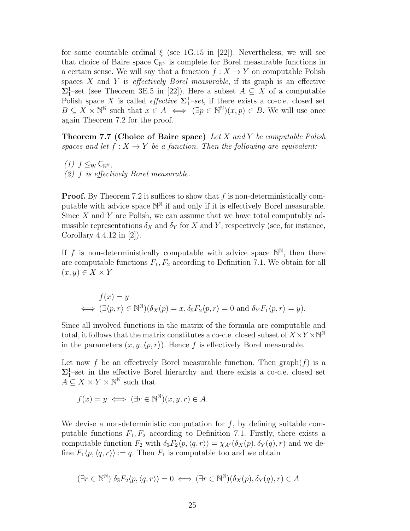for some countable ordinal  $\xi$  (see 1G.15 in [22]). Nevertheless, we will see that choice of Baire space  $C_{\mathbb{N}^N}$  is complete for Borel measurable functions in a certain sense. We will say that a function  $f: X \to Y$  on computable Polish spaces  $X$  and  $Y$  is *effectively Borel measurable*, if its graph is an effective  $\Sigma_1^1$ -set (see Theorem 3E.5 in [22]). Here a subset  $A \subseteq X$  of a computable Polish space X is called *effective*  $\Sigma_1^1$ -set, if there exists a co-c.e. closed set  $B \subseteq X \times \mathbb{N}^{\mathbb{N}}$  such that  $x \in A \iff (\exists p \in \mathbb{N}^{\mathbb{N}})(x, p) \in B$ . We will use once again Theorem 7.2 for the proof.

**Theorem 7.7 (Choice of Baire space)** Let X and Y be computable Polish spaces and let  $f: X \to Y$  be a function. Then the following are equivalent:

 $(1)$   $f \leq_W \mathsf{C}_{\mathbb{N}^{\mathbb{N}}}$ , (2) f is effectively Borel measurable.

**Proof.** By Theorem 7.2 it suffices to show that  $f$  is non-deterministically computable with advice space  $\mathbb{N}^{\mathbb{N}}$  if and only if it is effectively Borel measurable. Since  $X$  and  $Y$  are Polish, we can assume that we have total computably admissible representations  $\delta_X$  and  $\delta_Y$  for X and Y, respectively (see, for instance, Corollary 4.4.12 in [2]).

If f is non-deterministically computable with advice space  $\mathbb{N}^{\mathbb{N}}$ , then there are computable functions  $F_1, F_2$  according to Definition 7.1. We obtain for all  $(x, y) \in X \times Y$ 

$$
f(x) = y
$$
  

$$
\iff (\exists \langle p, r \rangle \in \mathbb{N}^{\mathbb{N}})(\delta_X(p) = x, \delta_{\mathbb{S}} F_2 \langle p, r \rangle = 0 \text{ and } \delta_Y F_1 \langle p, r \rangle = y).
$$

Since all involved functions in the matrix of the formula are computable and total, it follows that the matrix constitutes a co-c.e. closed subset of  $X \times Y \times \mathbb{N}^{\mathbb{N}}$ in the parameters  $(x, y, \langle p, r \rangle)$ . Hence f is effectively Borel measurable.

Let now f be an effectively Borel measurable function. Then  $graph(f)$  is a  $\Sigma_1^1$ -set in the effective Borel hierarchy and there exists a co-c.e. closed set  $A \subseteq X \times Y \times \mathbb{N}^{\mathbb{N}}$  such that

$$
f(x) = y \iff (\exists r \in \mathbb{N}^{\mathbb{N}})(x, y, r) \in A.
$$

We devise a non-deterministic computation for  $f$ , by defining suitable computable functions  $F_1, F_2$  according to Definition 7.1. Firstly, there exists a computable function  $F_2$  with  $\delta_{\mathbb{S}}F_2\langle p,\langle q,r\rangle\rangle = \chi_{A^c}(\delta_X(p),\delta_Y(q),r)$  and we define  $F_1\langle p,\langle q,r\rangle\rangle := q$ . Then  $F_1$  is computable too and we obtain

$$
(\exists r \in \mathbb{N}^{\mathbb{N}}) \delta_{\mathbb{S}} F_2 \langle p, \langle q, r \rangle \rangle = 0 \iff (\exists r \in \mathbb{N}^{\mathbb{N}}) (\delta_X(p), \delta_Y(q), r) \in A
$$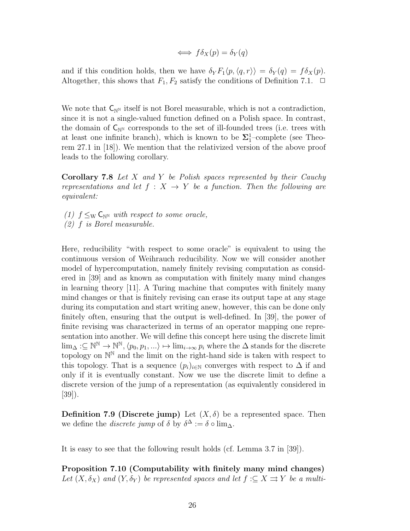$$
\iff f\delta_X(p) = \delta_Y(q)
$$

and if this condition holds, then we have  $\delta_Y F_1 \langle p, \langle q, r \rangle \rangle = \delta_Y (q) = f \delta_X (p)$ . Altogether, this shows that  $F_1, F_2$  satisfy the conditions of Definition 7.1.  $\Box$ 

We note that  $C_{\mathbb{N}^N}$  itself is not Borel measurable, which is not a contradiction, since it is not a single-valued function defined on a Polish space. In contrast, the domain of  $C_{\mathbb{N}^{\mathbb{N}}}$  corresponds to the set of ill-founded trees (i.e. trees with at least one infinite branch), which is known to be  $\Sigma_1^1$ -complete (see Theorem 27.1 in [18]). We mention that the relativized version of the above proof leads to the following corollary.

Corollary 7.8 Let X and Y be Polish spaces represented by their Cauchy representations and let  $f : X \rightarrow Y$  be a function. Then the following are equivalent:

(1)  $f \leq_{\mathrm{W}} \mathsf{C}_{\mathbb{N}^{\mathbb{N}}}$  with respect to some oracle, (2) f is Borel measurable.

Here, reducibility "with respect to some oracle" is equivalent to using the continuous version of Weihrauch reducibility. Now we will consider another model of hypercomputation, namely finitely revising computation as considered in [39] and as known as computation with finitely many mind changes in learning theory [11]. A Turing machine that computes with finitely many mind changes or that is finitely revising can erase its output tape at any stage during its computation and start writing anew, however, this can be done only finitely often, ensuring that the output is well-defined. In [39], the power of finite revising was characterized in terms of an operator mapping one representation into another. We will define this concept here using the discrete limit  $\lim_{\Delta}:\subseteq{\Bbb{N}}^{\Bbb{N}}\to{\Bbb{N}}^{\Bbb{N}},\langle p_0, p_1,...\rangle\mapsto\lim_{i\to\infty}p_i$  where the  $\Delta$  stands for the discrete topology on  $\mathbb{N}^{\mathbb{N}}$  and the limit on the right-hand side is taken with respect to this topology. That is a sequence  $(p_i)_{i\in\mathbb{N}}$  converges with respect to  $\Delta$  if and only if it is eventually constant. Now we use the discrete limit to define a discrete version of the jump of a representation (as equivalently considered in [39]).

**Definition 7.9 (Discrete jump)** Let  $(X, \delta)$  be a represented space. Then we define the *discrete jump* of  $\delta$  by  $\delta^{\Delta} := \delta \circ \lim_{\Delta}$ .

It is easy to see that the following result holds (cf. Lemma 3.7 in [39]).

Proposition 7.10 (Computability with finitely many mind changes) Let  $(X, \delta_X)$  and  $(Y, \delta_Y)$  be represented spaces and let  $f : \subseteq X \rightrightarrows Y$  be a multi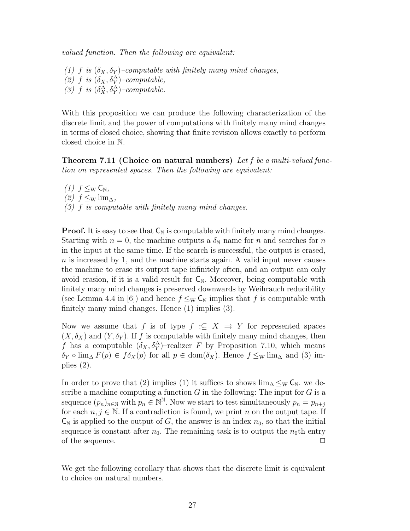valued function. Then the following are equivalent:

(1) f is  $(\delta_X, \delta_Y)$ -computable with finitely many mind changes, (2) f is  $(\delta_X, \delta_Y^{\Delta})$ -computable, (3) f is  $(\delta_X^{\Delta}, \delta_Y^{\Delta})$ -computable.

With this proposition we can produce the following characterization of the discrete limit and the power of computations with finitely many mind changes in terms of closed choice, showing that finite revision allows exactly to perform closed choice in N.

**Theorem 7.11 (Choice on natural numbers)** Let f be a multi-valued function on represented spaces. Then the following are equivalent:

 $(1)$   $f \leq_W C_N$ ,  $(2)$   $f \leq_W \lim_{\Delta}$ ,  $(3)$  f is computable with finitely many mind changes.

**Proof.** It is easy to see that  $C_N$  is computable with finitely many mind changes. Starting with  $n = 0$ , the machine outputs a  $\delta_N$  name for n and searches for n in the input at the same time. If the search is successful, the output is erased, n is increased by 1, and the machine starts again. A valid input never causes the machine to erase its output tape infinitely often, and an output can only avoid erasion, if it is a valid result for  $C_N$ . Moreover, being computable with finitely many mind changes is preserved downwards by Weihrauch reducibility (see Lemma 4.4 in [6]) and hence  $f \leq_W \mathsf{C}_\mathbb{N}$  implies that f is computable with finitely many mind changes. Hence (1) implies (3).

Now we assume that f is of type  $f : \subseteq X \implies Y$  for represented spaces  $(X, \delta_X)$  and  $(Y, \delta_Y)$ . If f is computable with finitely many mind changes, then f has a computable  $(\delta_X, \delta_Y^{\Delta})$ -realizer F by Proposition 7.10, which means  $\delta_Y \circ \lim_{\Delta} F(p) \in f \delta_X(p)$  for all  $p \in \text{dom}(\delta_X)$ . Hence  $f \leq_W \lim_{\Delta} \text{ and (3) im-}$ plies (2).

In order to prove that (2) implies (1) it suffices to shows  $\lim_{\Delta} \leq_{\rm W} C_{\rm N}$ . we describe a machine computing a function  $G$  in the following: The input for  $G$  is a sequence  $(p_n)_{n\in\mathbb{N}}$  with  $p_n \in \mathbb{N}^{\mathbb{N}}$ . Now we start to test simultaneously  $p_n = p_{n+j}$ for each  $n, j \in \mathbb{N}$ . If a contradiction is found, we print n on the output tape. If  $\mathsf{C}_{\mathbb{N}}$  is applied to the output of G, the answer is an index  $n_0$ , so that the initial sequence is constant after  $n_0$ . The remaining task is to output the  $n_0$ th entry of the sequence.  $\Box$ 

We get the following corollary that shows that the discrete limit is equivalent to choice on natural numbers.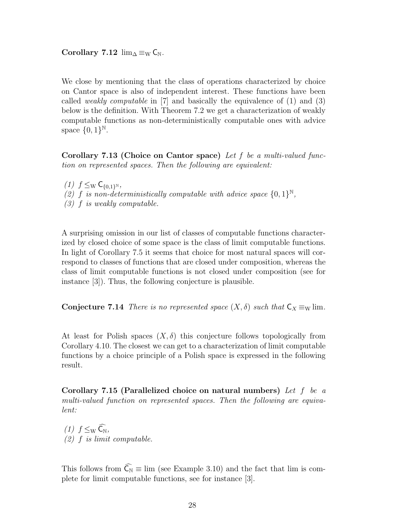Corollary 7.12  $\lim_{\Delta \equiv W} C_N$ .

We close by mentioning that the class of operations characterized by choice on Cantor space is also of independent interest. These functions have been called *weakly computable* in  $[7]$  and basically the equivalence of  $(1)$  and  $(3)$ below is the definition. With Theorem 7.2 we get a characterization of weakly computable functions as non-deterministically computable ones with advice space  $\{0,1\}^{\mathbb{N}}$ .

Corollary 7.13 (Choice on Cantor space) Let f be a multi-valued function on represented spaces. Then the following are equivalent:

(1)  $f \leq_{\rm W} C_{\{0,1\}^{\rm N}}$ , (2) f is non-deterministically computable with advice space  $\{0,1\}^{\mathbb{N}},$ (3) f is weakly computable.

A surprising omission in our list of classes of computable functions characterized by closed choice of some space is the class of limit computable functions. In light of Corollary 7.5 it seems that choice for most natural spaces will correspond to classes of functions that are closed under composition, whereas the class of limit computable functions is not closed under composition (see for instance [3]). Thus, the following conjecture is plausible.

Conjecture 7.14 There is no represented space  $(X, \delta)$  such that  $C_X \equiv_W \lim$ .

At least for Polish spaces  $(X, \delta)$  this conjecture follows topologically from Corollary 4.10. The closest we can get to a characterization of limit computable functions by a choice principle of a Polish space is expressed in the following result.

Corollary 7.15 (Parallelized choice on natural numbers) Let f be a multi-valued function on represented spaces. Then the following are equivalent:

(1)  $f \leq_{\rm W} \widehat{\mathsf{C}_{\rm N}},$  $(2)$  f is limit computable.

This follows from  $\widehat{C_N} \equiv \lim$  (see Example 3.10) and the fact that lim is complete for limit computable functions, see for instance [3].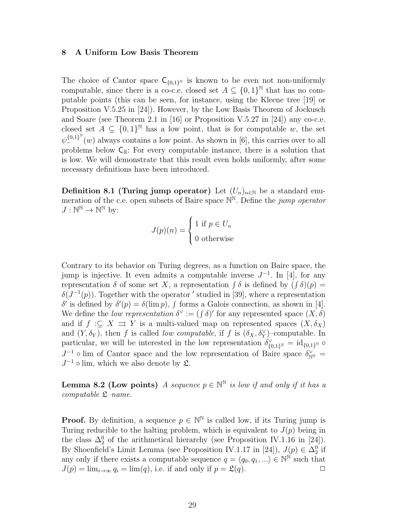# 8 A Uniform Low Basis Theorem

The choice of Cantor space  $C_{\{0,1\}^{\mathbb{N}}}$  is known to be even not non-uniformly computable, since there is a co-c.e. closed set  $A \subseteq \{0,1\}^{\mathbb{N}}$  that has no computable points (this can be seen, for instance, using the Kleene tree [19] or Proposition V.5.25 in [24]). However, by the Low Basis Theorem of Jockusch and Soare (see Theorem 2.1 in [16] or Proposition V.5.27 in [24]) any co-c.e. closed set  $A \subseteq \{0,1\}^{\mathbb{N}}$  has a low point, that is for computable w, the set  $\psi_{-}^{\{0,1\}^{\mathbb{N}}}(w)$  always contains a low point. As shown in [6], this carries over to all problems below  $C_{\mathbb{R}}$ : For every computable instance, there is a solution that is low. We will demonstrate that this result even holds uniformly, after some necessary definitions have been introduced.

Definition 8.1 (Turing jump operator) Let  $(U_n)_{n\in\mathbb{N}}$  be a standard enumeration of the c.e. open subsets of Baire space  $\mathbb{N}^{\mathbb{N}}$ . Define the *jump operator*  $J: \mathbb{N}^{\mathbb{N}} \to \mathbb{N}^{\mathbb{N}}$  by:

$$
J(p)(n) = \begin{cases} 1 \text{ if } p \in U_n \\ 0 \text{ otherwise} \end{cases}
$$

Contrary to its behavior on Turing degrees, as a function on Baire space, the jump is injective. It even admits a computable inverse  $J^{-1}$ . In [4], for any representation  $\delta$  of some set X, a representation  $\int \delta$  is defined by  $(\int \delta)(p) =$  $\delta(J^{-1}(p))$ . Together with the operator ' studied in [39], where a representation δ' is defined by  $\delta'(p) = \delta(\lim p)$ , f forms a Galois connection, as shown in [4]. We define the *low representation*  $\delta^{\vee} := (\int \delta)'$  for any represented space  $(X, \delta)$ and if  $f : \subseteq X \implies Y$  is a multi-valued map on represented spaces  $(X, \delta_X)$ and  $(Y, \delta_Y)$ , then f is called *low computable*, if f is  $(\delta_X, \delta_Y^{\vee})$ -computable. In particular, we will be interested in the low representation  $\delta_{\{0,1\}^{\mathbb{N}}}^{\vee} = id_{\{0,1\}^{\mathbb{N}}}$  $J^{-1}$  o lim of Cantor space and the low representation of Baire space  $\delta_{\mathbb{N}^{\mathbb{N}}}^{\vee}$  $J^{-1}$   $\circ$  lim, which we also denote by  $\mathfrak{L}$ .

**Lemma 8.2 (Low points)** A sequence  $p \in \mathbb{N}^{\mathbb{N}}$  is low if and only if it has a computable  $\mathfrak{L}-name$ .

**Proof.** By definition, a sequence  $p \in \mathbb{N}^{\mathbb{N}}$  is called low, if its Turing jump is Turing reducible to the halting problem, which is equivalent to  $J(p)$  being in the class  $\Delta_2^0$  of the arithmetical hierarchy (see Proposition IV.1.16 in [24]). By Shoenfield's Limit Lemma (see Proposition IV.1.17 in [24]),  $J(p) \in \Delta_2^0$  if any only if there exists a computable sequence  $q = \langle q_0, q_1, \ldots \rangle \in \mathbb{N}^{\mathbb{N}}$  such that  $J(p) = \lim_{i \to \infty} q_i = \lim(q)$ , i.e. if and only if  $p = \mathfrak{L}(q)$ .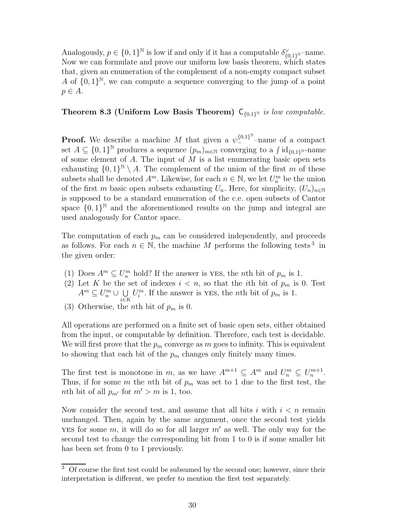Analogously,  $p \in \{0,1\}^{\mathbb{N}}$  is low if and only if it has a computable  $\delta_{\{0,1\}^{\mathbb{N}}}^{\vee}$ -name. Now we can formulate and prove our uniform low basis theorem, which states that, given an enumeration of the complement of a non-empty compact subset A of  $\{0,1\}^{\mathbb{N}}$ , we can compute a sequence converging to the jump of a point  $p \in A$ .

# Theorem 8.3 (Uniform Low Basis Theorem)  $C_{\{0,1\}^N}$  is low computable.

**Proof.** We describe a machine M that given a  $\psi_{-}^{\{0,1\}^{N}}$ -name of a compact set  $A \subseteq \{0,1\}^{\mathbb{N}}$  produces a sequence  $(p_m)_{m \in \mathbb{N}}$  converging to a  $\int id_{\{0,1\}^{\mathbb{N}}}$ -name of some element of A. The input of  $M$  is a list enumerating basic open sets exhausting  $\{0,1\}^{\mathbb{N}} \setminus A$ . The complement of the union of the first m of these subsets shall be denoted  $A^m$ . Likewise, for each  $n \in \mathbb{N}$ , we let  $U_n^m$  be the union of the first m basic open subsets exhausting  $U_n$ . Here, for simplicity,  $(U_n)_{n\in\mathbb{N}}$ is supposed to be a standard enumeration of the c.e. open subsets of Cantor space  $\{0,1\}^{\mathbb{N}}$  and the aforementioned results on the jump and integral are used analogously for Cantor space.

The computation of each  $p_m$  can be considered independently, and proceeds as follows. For each  $n \in \mathbb{N}$ , the machine M performs the following tests<sup>3</sup> in the given order:

- (1) Does  $A^m \subseteq U_n^m$  hold? If the answer is YES, the *n*th bit of  $p_m$  is 1.
- (2) Let K be the set of indexes  $i < n$ , so that the *i*th bit of  $p_m$  is 0. Test  $A^m \subseteq U_n^m \cup \bigcup$ i∈K  $U_i^m$ . If the answer is YES, the *n*th bit of  $p_m$  is 1.
- (3) Otherwise, the *n*th bit of  $p_m$  is 0.

All operations are performed on a finite set of basic open sets, either obtained from the input, or computable by definition. Therefore, each test is decidable. We will first prove that the  $p_m$  converge as m goes to infinity. This is equivalent to showing that each bit of the  $p_m$  changes only finitely many times.

The first test is monotone in m, as we have  $A^{m+1} \subseteq A^m$  and  $U_n^m \subseteq U_n^{m+1}$ . Thus, if for some  $m$  the nth bit of  $p_m$  was set to 1 due to the first test, the nth bit of all  $p_{m'}$  for  $m' > m$  is 1, too.

Now consider the second test, and assume that all bits i with  $i < n$  remain unchanged. Then, again by the same argument, once the second test yields YES for some  $m$ , it will do so for all larger  $m'$  as well. The only way for the second test to change the corresponding bit from 1 to 0 is if some smaller bit has been set from 0 to 1 previously.

<sup>3</sup> Of course the first test could be subsumed by the second one; however, since their interpretation is different, we prefer to mention the first test separately.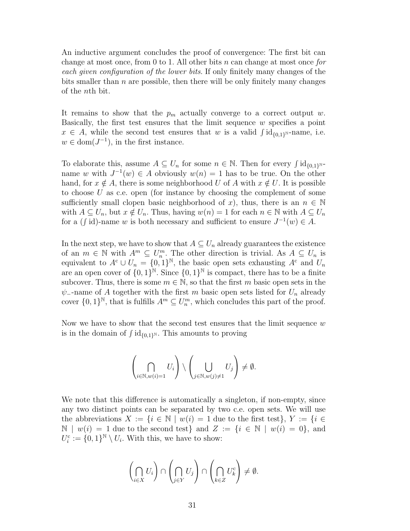An inductive argument concludes the proof of convergence: The first bit can change at most once, from 0 to 1. All other bits  $n$  can change at most once for each given configuration of the lower bits. If only finitely many changes of the bits smaller than  $n$  are possible, then there will be only finitely many changes of the nth bit.

It remains to show that the  $p_m$  actually converge to a correct output w. Basically, the first test ensures that the limit sequence w specifies a point  $x \in A$ , while the second test ensures that w is a valid  $\int id_{\{0,1\}^N}$ -name, i.e.  $w \in \text{dom}(J^{-1})$ , in the first instance.

To elaborate this, assume  $A \subseteq U_n$  for some  $n \in \mathbb{N}$ . Then for every  $\int id_{\{0,1\}^{\mathbb{N}}}$ name w with  $J^{-1}(w) \in A$  obviously  $w(n) = 1$  has to be true. On the other hand, for  $x \notin A$ , there is some neighborhood U of A with  $x \notin U$ . It is possible to choose U as c.e. open (for instance by choosing the complement of some sufficiently small clopen basic neighborhood of x), thus, there is an  $n \in \mathbb{N}$ with  $A \subseteq U_n$ , but  $x \notin U_n$ . Thus, having  $w(n) = 1$  for each  $n \in \mathbb{N}$  with  $A \subseteq U_n$ for a (f id)-name w is both necessary and sufficient to ensure  $J^{-1}(w) \in A$ .

In the next step, we have to show that  $A \subseteq U_n$  already guarantees the existence of an  $m \in \mathbb{N}$  with  $A^m \subseteq U_n^m$ . The other direction is trivial. As  $A \subseteq U_n$  is equivalent to  $A^c \cup U_n = \{0,1\}^N$ , the basic open sets exhausting  $A^c$  and  $U_n$ are an open cover of  $\{0,1\}^{\mathbb{N}}$ . Since  $\{0,1\}^{\mathbb{N}}$  is compact, there has to be a finite subcover. Thus, there is some  $m \in \mathbb{N}$ , so that the first m basic open sets in the  $\psi$ --name of A together with the first m basic open sets listed for  $U_n$  already cover  $\{0,1\}^{\mathbb{N}}$ , that is fulfills  $A^m \subseteq U_n^m$ , which concludes this part of the proof.

Now we have to show that the second test ensures that the limit sequence  $w$ is in the domain of  $\int id_{\{0,1\}^{\mathbb{N}}}$ . This amounts to proving

$$
\left(\bigcap_{i\in\mathbb{N},w(i)=1}U_i\right)\setminus\left(\bigcup_{j\in\mathbb{N},w(j)\neq 1}U_j\right)\neq\emptyset.
$$

We note that this difference is automatically a singleton, if non-empty, since any two distinct points can be separated by two c.e. open sets. We will use the abbreviations  $X := \{i \in \mathbb{N} \mid w(i) = 1 \text{ due to the first test}\}, Y := \{i \in \mathbb{N} \mid w(i) = 1 \text{ due to the first test}\}.$  $\mathbb{N} \mid w(i) = 1$  due to the second test and  $Z := \{i \in \mathbb{N} \mid w(i) = 0\}$ , and  $U_i^{\rm c} := \{0,1\}^{\mathbb{N}} \setminus U_i$ . With this, we have to show:

$$
\left(\bigcap_{i\in X}U_i\right)\cap\left(\bigcap_{j\in Y}U_j\right)\cap\left(\bigcap_{k\in Z}U_k^{\rm c}\right)\neq\emptyset.
$$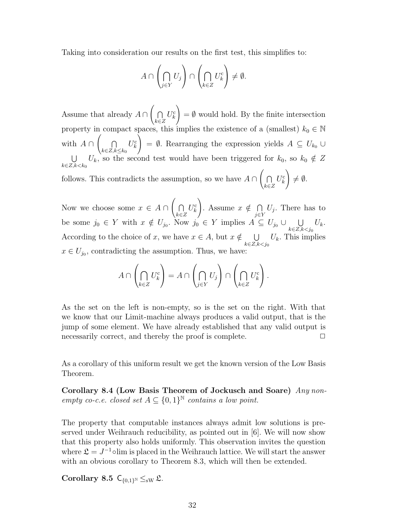Taking into consideration our results on the first test, this simplifies to:

$$
A \cap \left(\bigcap_{j \in Y} U_j\right) \cap \left(\bigcap_{k \in Z} U_k^c\right) \neq \emptyset.
$$

Assume that already  $A \cap$  $\sqrt{ }$  $\cap$ k∈Z  $U_k^{\rm c}$ !  $=$   $\emptyset$  would hold. By the finite intersection property in compact spaces, this implies the existence of a (smallest)  $k_0 \in \mathbb{N}$ with  $A \cap$  $\sqrt{ }$  $\cap$  $k \in \mathbb{Z}, k \leq k_0$  $U_k^{\rm c}$  $\tilde{\setminus}$  $= \emptyset$ . Rearranging the expression yields  $A \subseteq U_{k_0} \cup$  $\overline{\phantom{a}}$  $k<sub>\in Z, k< k<sub>0</sub></sub>$  $U_k$ , so the second test would have been triggered for  $k_0$ , so  $k_0 \notin Z$ follows. This contradicts the assumption, so we have  $A \cap$  $\sqrt{ }$  $\cap$ k∈Z  $U_k^{\rm c}$ !  $\neq \emptyset.$ 

Now we choose some  $x \in A \cap$  $\sqrt{ }$  $\cap$ k∈Z  $U_k^{\rm c}$ ! . Assume  $x \notin \bigcap$  $\bigcap_{j\in Y} U_j$ . There has to be some  $j_0 \in Y$  with  $x \notin U_{j_0}$ . Now  $j_0 \in Y$  implies  $A \subseteq U_{j_0} \cup \bigcup$  $k \in \mathbb{Z}, k < j_0$  $U_k$ . According to the choice of x, we have  $x \in A$ , but  $x \notin \cup \cup$  $k \in \mathbb{Z}, k < j_0$  $U_k$ . This implies  $x \in U_{j_0}$ , contradicting the assumption. Thus, we have:

$$
A \cap \left(\bigcap_{k \in Z} U_k^c\right) = A \cap \left(\bigcap_{j \in Y} U_j\right) \cap \left(\bigcap_{k \in Z} U_k^c\right).
$$

As the set on the left is non-empty, so is the set on the right. With that we know that our Limit-machine always produces a valid output, that is the jump of some element. We have already established that any valid output is necessarily correct, and thereby the proof is complete.  $\Box$ 

As a corollary of this uniform result we get the known version of the Low Basis Theorem.

Corollary 8.4 (Low Basis Theorem of Jockusch and Soare) Any nonempty co-c.e. closed set  $A \subseteq \{0,1\}^{\mathbb{N}}$  contains a low point.

The property that computable instances always admit low solutions is preserved under Weihrauch reducibility, as pointed out in [6]. We will now show that this property also holds uniformly. This observation invites the question where  $\mathfrak{L} = J^{-1}$ °lim is placed in the Weihrauch lattice. We will start the answer with an obvious corollary to Theorem 8.3, which will then be extended.

Corollary 8.5  $C_{\{0,1\}^{\mathbb{N}}} \leq_{\text{SW}} \mathfrak{L}$ .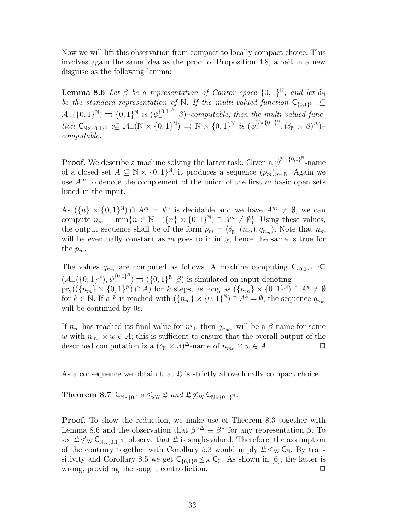Now we will lift this observation from compact to locally compact choice. This involves again the same idea as the proof of Proposition 4.8, albeit in a new disguise as the following lemma:

**Lemma 8.6** Let  $\beta$  be a representation of Cantor space  $\{0,1\}^{\mathbb{N}}$ , and let  $\delta_{\mathbb{N}}$ be the standard representation of N. If the multi-valued function  $C_{\{0,1\}^{\mathbb{N}}}$  :  $\mathcal{A}_{-}(\{0,1\}^{\mathbb{N}}) \rightrightarrows \{0,1\}^{\mathbb{N}}$  is  $(\psi_{-}^{\{0,1\}^{\mathbb{N}}}, \beta)$ -computable, then the multi-valued func- $\it{tion} \ \mathsf{C}_{\mathbb{N} \times \{0,1\}^{\mathbb{N}}} : \subseteq \mathcal{A}_-(\mathbb{N} \times \{0,1\}^{\mathbb{N}}) \Rightarrow \mathbb{N} \times \{0,1\}^{\mathbb{N}} \ \it{is} \ (\psi^{\mathbb{N} \times \{0,1\}^{\mathbb{N}}}_{-}, (\delta_{\mathbb{N}} \times \beta)^{\Delta})$ computable.

**Proof.** We describe a machine solving the latter task. Given a  $\psi^{\mathbb{N}\times\{0,1\}^{\mathbb{N}}}_{-}$ -name of a closed set  $A \subseteq \mathbb{N} \times \{0,1\}^{\mathbb{N}}$ , it produces a sequence  $(p_m)_{m \in \mathbb{N}}$ . Again we use  $A<sup>m</sup>$  to denote the complement of the union of the first m basic open sets listed in the input.

As  $({n} \times {0,1}^{\mathbb{N}}) \cap A^{m} = \emptyset$ ? is decidable and we have  $A^{m} \neq \emptyset$ , we can compute  $n_m = \min\{n \in \mathbb{N} \mid (\{n\} \times \{0,1\}^{\mathbb{N}}) \cap A^m \neq \emptyset\}$ . Using these values, the output sequence shall be of the form  $p_m = \langle \delta_{\mathbb{N}}^{-1} \rangle$  $\mathbb{R}^{-1}(n_m), q_{n_m}$ . Note that  $n_m$ will be eventually constant as  $m$  goes to infinity, hence the same is true for the  $p_m$ .

The values  $q_{n_m}$  are computed as follows. A machine computing  $C_{\{0,1\}^N}$  :⊆  $(\mathcal{A}_{-}(\{0,1\}^{\mathbb{N}}), \psi_{-}^{\{0,1\}^{\mathbb{N}}}) \rightrightarrows (\{0,1\}^{\mathbb{N}}, \beta)$  is simulated on input denoting  $pr_2((\lbrace n_m \rbrace \times \lbrace 0,1 \rbrace^{\mathbb{N}}) \cap A)$  for k steps, as long as  $(\lbrace n_m \rbrace \times \lbrace 0,1 \rbrace^{\mathbb{N}}) \cap A^k \neq \emptyset$ for  $k \in \mathbb{N}$ . If a k is reached with  $(\{n_m\} \times \{0,1\}^{\mathbb{N}}) \cap A^k = \emptyset$ , the sequence  $q_{n_m}$ will be continued by 0s.

If  $n_m$  has reached its final value for  $m_0$ , then  $q_{n_{m_0}}$  will be a  $\beta$ -name for some w with  $n_{m_0} \times w \in A$ ; this is sufficient to ensure that the overall output of the described computation is a  $(\delta_{\mathbb{N}} \times \beta)^{\Delta}$ -name of  $n_{m_0} \times w \in A$ .

As a consequence we obtain that  $\mathfrak L$  is strictly above locally compact choice.

Theorem 8.7  $C_{\mathbb{N}\times\{0,1\}^{\mathbb{N}}} \leq_{\text{sw}} \mathfrak{L}$  and  $\mathfrak{L} \nleq_{\mathbb{W}} C_{\mathbb{N}\times\{0,1\}^{\mathbb{N}}}$ .

Proof. To show the reduction, we make use of Theorem 8.3 together with Lemma 8.6 and the observation that  $\beta^{\vee \Delta} \equiv \beta^{\vee}$  for any representation  $\beta$ . To see  $\mathfrak{L} \nleq_{\mathrm{W}} C_{\mathbb{N} \times \{0,1\}^{\mathbb{N}}}$ , observe that  $\mathfrak{L}$  is single-valued. Therefore, the assumption of the contrary together with Corollary 5.3 would imply  $\mathfrak{L} \leq_{\mathrm{W}} C_{\mathbb{N}}$ . By transitivity and Corollary 8.5 we get  $C_{\{0,1\}^{\mathbb{N}}} \leq_{\mathbb{N}} C_{\mathbb{N}}$ . As shown in [6], the latter is wrong, providing the sought contradiction.  $\Box$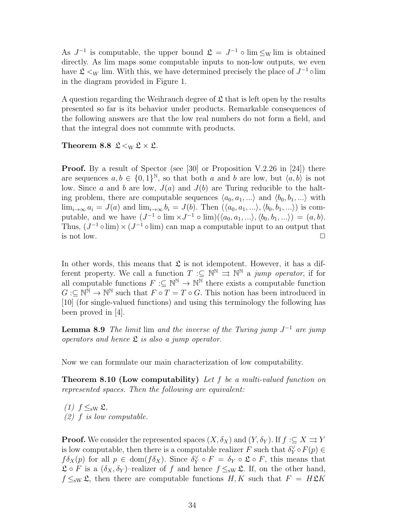As  $J^{-1}$  is computable, the upper bound  $\mathfrak{L} = J^{-1} \circ \lim \leq_{\mathrm{W}} \lim$  is obtained directly. As lim maps some computable inputs to non-low outputs, we even have  $\mathfrak{L} \lt W$  lim. With this, we have determined precisely the place of  $J^{-1} \circ \lim$ in the diagram provided in Figure 1.

A question regarding the Weihrauch degree of  $\mathfrak L$  that is left open by the results presented so far is its behavior under products. Remarkable consequences of the following answers are that the low real numbers do not form a field, and that the integral does not commute with products.

Theorem 8.8  $\mathfrak{L} <_{\mathrm{W}} \mathfrak{L} \times \mathfrak{L}$ .

**Proof.** By a result of Spector (see [30] or Proposition V.2.26 in [24]) there are sequences  $a, b \in \{0, 1\}^{\mathbb{N}},$  so that both a and b are low, but  $\langle a, b \rangle$  is not low. Since a and b are low,  $J(a)$  and  $J(b)$  are Turing reducible to the halting problem, there are computable sequences  $\langle a_0, a_1, \ldots \rangle$  and  $\langle b_0, b_1, \ldots \rangle$  with  $\lim_{i\to\infty} a_i = J(a)$  and  $\lim_{i\to\infty} b_i = J(b)$ . Then  $(\langle a_0, a_1, ...\rangle, \langle b_0, b_1, ...\rangle)$  is computable, and we have  $(J^{-1} \circ \lim \times J^{-1} \circ \lim)(\langle a_0, a_1, ...\rangle, \langle b_0, b_1, ...\rangle) = (a, b).$ Thus,  $(J^{-1} \circ \lim) \times (J^{-1} \circ \lim)$  can map a computable input to an output that is not low.  $\Box$ 

In other words, this means that  $\mathfrak L$  is not idempotent. However, it has a different property. We call a function  $T \text{ }:\subseteq\mathbb{N}^{\mathbb{N}}\Rightarrow\mathbb{N}^{\mathbb{N}}$  a jump operator, if for all computable functions  $F: \subseteq \mathbb{N}^{\mathbb{N}} \to \mathbb{N}^{\mathbb{N}}$  there exists a computable function  $G:\subseteq\mathbb{N}^{\mathbb{N}}\to\mathbb{N}^{\mathbb{N}}$  such that  $F\circ T=T\circ G$ . This notion has been introduced in [10] (for single-valued functions) and using this terminology the following has been proved in [4].

**Lemma 8.9** The limit lim and the inverse of the Turing jump  $J^{-1}$  are jump operators and hence  $\mathfrak L$  is also a jump operator.

Now we can formulate our main characterization of low computability.

Theorem 8.10 (Low computability) Let f be a multi-valued function on represented spaces. Then the following are equivalent:

 $(1)$   $f \leq_{\text{sw}} \mathfrak{L}$ ,  $(2)$  f is low computable.

**Proof.** We consider the represented spaces  $(X, \delta_X)$  and  $(Y, \delta_Y)$ . If  $f : \subseteq X \rightrightarrows Y$ is low computable, then there is a computable realizer F such that  $\delta_Y^{\vee} \circ F(p) \in$  $f\delta_X(p)$  for all  $p \in \text{dom}(f\delta_X)$ . Since  $\delta_Y^{\vee} \circ F = \delta_Y \circ \mathfrak{L} \circ F$ , this means that  $\mathfrak{L} \circ F$  is a  $(\delta_X, \delta_Y)$ -realizer of f and hence  $f \leq_{\text{sw}} \mathfrak{L}$ . If, on the other hand,  $f \leq_{\text{sw}} \mathfrak{L}$ , then there are computable functions  $H, K$  such that  $F = H\mathfrak{L}K$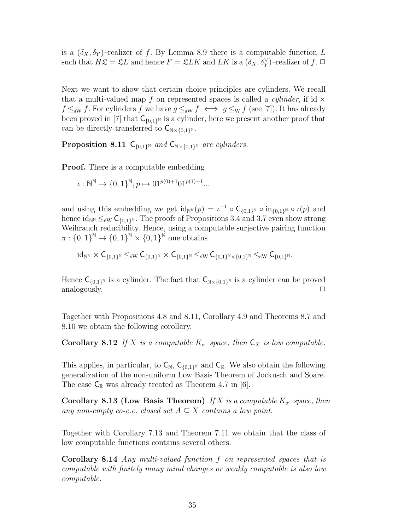is a  $(\delta_X, \delta_Y)$ -realizer of f. By Lemma 8.9 there is a computable function L such that  $H\mathfrak{L} = \mathfrak{L}L$  and hence  $F = \mathfrak{L}LK$  and  $LK$  is a  $(\delta_X, \delta_Y^{\vee})$ -realizer of  $f$ .

Next we want to show that certain choice principles are cylinders. We recall that a multi-valued map f on represented spaces is called a *cylinder*, if id  $\times$  $f \leq_{\text{sw}} f$ . For cylinders f we have  $g \leq_{\text{sw}} f \iff g \leq_{\text{w}} f$  (see [7]). It has already been proved in [7] that  $C_{\{0,1\}^{\mathbb{N}}}$  is a cylinder, here we present another proof that can be directly transferred to  $\mathsf{C}_{\mathbb{N}\times\{0,1\}^{\mathbb{N}}}$ .

**Proposition 8.11**  $C_{\{0,1\}^{\mathbb{N}}}$  and  $C_{\mathbb{N}\times\{0,1\}^{\mathbb{N}}}$  are cylinders.

**Proof.** There is a computable embedding

$$
\iota: \mathbb{N}^{\mathbb{N}} \to \{0, 1\}^{\mathbb{N}}, p \mapsto 01^{p(0)+1} 01^{p(1)+1} \dots
$$

and using this embedding we get  $id_{\mathbb{N}^{\mathbb{N}}}(p) = \iota^{-1} \circ \mathsf{C}_{\{0,1\}^{\mathbb{N}}} \circ in_{\{0,1\}^{\mathbb{N}}} \circ \iota(p)$  and hence  $\mathrm{id}_{\mathbb{N}} \leq_{\mathrm{sW}} \mathsf{C}_{\{0,1\}^{\mathbb{N}}}$ . The proofs of Propositions 3.4 and 3.7 even show strong Weihrauch reducibility. Hence, using a computable surjective pairing function  $\pi:\{0,1\}^{\mathbb{N}}\to\{0,1\}^{\mathbb{N}}\times\{0,1\}^{\mathbb{N}}$  one obtains

$$
{\rm id}_{\mathbb{N}^\mathbb{N}}\times \mathsf{C}_{\{0,1\}^\mathbb{N}}\leq_{\rm sW}\mathsf{C}_{\{0,1\}^\mathbb{N}}\times \mathsf{C}_{\{0,1\}^\mathbb{N}}\leq_{\rm sW}\mathsf{C}_{\{0,1\}^\mathbb{N}\times\{0,1\}^\mathbb{N}}\leq_{\rm sW}\mathsf{C}_{\{0,1\}^\mathbb{N}}.
$$

Hence  $\mathsf{C}_{\{0,1\}^{\mathbb{N}}}$  is a cylinder. The fact that  $\mathsf{C}_{\mathbb{N}\times\{0,1\}^{\mathbb{N}}}$  is a cylinder can be proved analogously.  $\Box$ 

Together with Propositions 4.8 and 8.11, Corollary 4.9 and Theorems 8.7 and 8.10 we obtain the following corollary.

**Corollary 8.12** If X is a computable  $K_{\sigma}$ -space, then  $C_X$  is low computable.

This applies, in particular, to  $C_{\mathbb{N}}$ ,  $C_{\{0,1\}^{\mathbb{N}}}$  and  $C_{\mathbb{R}}$ . We also obtain the following generalization of the non-uniform Low Basis Theorem of Jockusch and Soare. The case  $C_{\mathbb{R}}$  was already treated as Theorem 4.7 in [6].

Corollary 8.13 (Low Basis Theorem) If X is a computable  $K_{\sigma}$ -space, then any non-empty co-c.e. closed set  $A \subseteq X$  contains a low point.

Together with Corollary 7.13 and Theorem 7.11 we obtain that the class of low computable functions contains several others.

Corollary 8.14 Any multi-valued function f on represented spaces that is computable with finitely many mind changes or weakly computable is also low computable.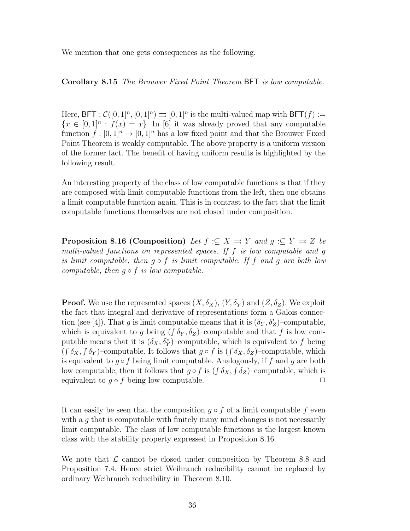We mention that one gets consequences as the following.

Corollary 8.15 The Brouwer Fixed Point Theorem BFT is low computable.

Here, BFT:  $\mathcal{C}([0,1]^n, [0,1]^n) \rightrightarrows [0,1]^n$  is the multi-valued map with BFT $(f)$ :=  ${x \in [0,1]^n : f(x) = x}.$  In [6] it was already proved that any computable function  $f : [0, 1]^n \to [0, 1]^n$  has a low fixed point and that the Brouwer Fixed Point Theorem is weakly computable. The above property is a uniform version of the former fact. The benefit of having uniform results is highlighted by the following result.

An interesting property of the class of low computable functions is that if they are composed with limit computable functions from the left, then one obtains a limit computable function again. This is in contrast to the fact that the limit computable functions themselves are not closed under composition.

**Proposition 8.16 (Composition)** Let  $f : \subseteq X \implies Y$  and  $g : \subseteq Y \implies Z$  be multi-valued functions on represented spaces. If f is low computable and g is limit computable, then  $g \circ f$  is limit computable. If f and g are both low computable, then  $q \circ f$  is low computable.

**Proof.** We use the represented spaces  $(X, \delta_X)$ ,  $(Y, \delta_Y)$  and  $(Z, \delta_Z)$ . We exploit the fact that integral and derivative of representations form a Galois connection (see [4]). That g is limit computable means that it is  $(\delta_Y, \delta_Z')$ -computable, which is equivalent to g being  $(\int \delta_Y, \delta_Z)$ -computable and that f is low computable means that it is  $(\delta_X, \delta_Y^{\vee})$ -computable, which is equivalent to f being  $(\int \delta_X, \int \delta_Y)$ -computable. It follows that  $g \circ f$  is  $(\int \delta_X, \delta_Z)$ -computable, which is equivalent to  $g \circ f$  being limit computable. Analogously, if f and g are both low computable, then it follows that  $g \circ f$  is  $(\int \delta_X, \int \delta_Z)$ -computable, which is equivalent to  $q \circ f$  being low computable.  $\Box$ 

It can easily be seen that the composition  $g \circ f$  of a limit computable f even with a  $g$  that is computable with finitely many mind changes is not necessarily limit computable. The class of low computable functions is the largest known class with the stability property expressed in Proposition 8.16.

We note that  $\mathcal L$  cannot be closed under composition by Theorem 8.8 and Proposition 7.4. Hence strict Weihrauch reducibility cannot be replaced by ordinary Weihrauch reducibility in Theorem 8.10.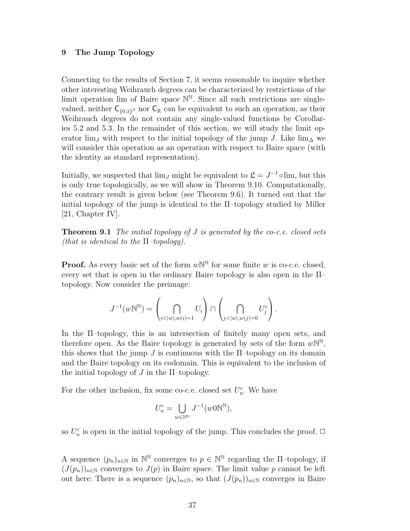### 9 The Jump Topology

Connecting to the results of Section 7, it seems reasonable to inquire whether other interesting Weihrauch degrees can be characterized by restrictions of the limit operation lim of Baire space  $\mathbb{N}^{\mathbb{N}}$ . Since all such restrictions are singlevalued, neither  $C_{\{0,1\}^{\mathbb{N}}}$  nor  $C_{\mathbb{R}}$  can be equivalent to such an operation, as their Weihrauch degrees do not contain any single-valued functions by Corollaries 5.2 and 5.3. In the remainder of this section, we will study the limit operator lim<sub>J</sub> with respect to the initial topology of the jump J. Like lim<sub>∆</sub> we will consider this operation as an operation with respect to Baire space (with the identity as standard representation).

Initially, we suspected that  $\lim_{J}$  might be equivalent to  $\mathfrak{L} = J^{-1} \circ \lim_{J}$  but this is only true topologically, as we will show in Theorem 9.10. Computationally, the contrary result is given below (see Theorem 9.6). It turned out that the initial topology of the jump is identical to the Π–topology studied by Miller [21, Chapter IV].

**Theorem 9.1** The initial topology of  $J$  is generated by the co-c.e. closed sets (that is identical to the  $\Pi$ -topology).

**Proof.** As every basic set of the form  $w\mathbb{N}^{\mathbb{N}}$  for some finite w is co-c.e. closed, every set that is open in the ordinary Baire topology is also open in the Π– topology. Now consider the preimage:

$$
J^{-1}(w\mathbb{N}^{\mathbb{N}})=\left(\bigcap_{i<|w|,w(i)=1}U_i\right)\cap\left(\bigcap_{j<|w|,w(j)=0}U_j^c\right).
$$

In the Π–topology, this is an intersection of finitely many open sets, and therefore open. As the Baire topology is generated by sets of the form  $wN^N$ , this shows that the jump  $J$  is continuous with the  $\Pi$ -topology on its domain and the Baire topology on its codomain. This is equivalent to the inclusion of the initial topology of  $J$  in the  $\Pi$ -topology.

For the other inclusion, fix some co-c.e. closed set  $U_n^c$ . We have

$$
U_n^{\text{c}} = \bigcup_{w \in \mathbb{N}^n} J^{-1}(w0\mathbb{N}^{\mathbb{N}}),
$$

so  $U_n^{\rm c}$  is open in the initial topology of the jump. This concludes the proof.  $\Box$ 

A sequence  $(p_n)_{n \in \mathbb{N}}$  in  $\mathbb{N}^{\mathbb{N}}$  converges to  $p \in \mathbb{N}^{\mathbb{N}}$  regarding the  $\Pi$ -topology, if  $(J(p_n))_{n\in\mathbb{N}}$  converges to  $J(p)$  in Baire space. The limit value p cannot be left out here: There is a sequence  $(p_n)_{n\in\mathbb{N}}$ , so that  $(J(p_n))_{n\in\mathbb{N}}$  converges in Baire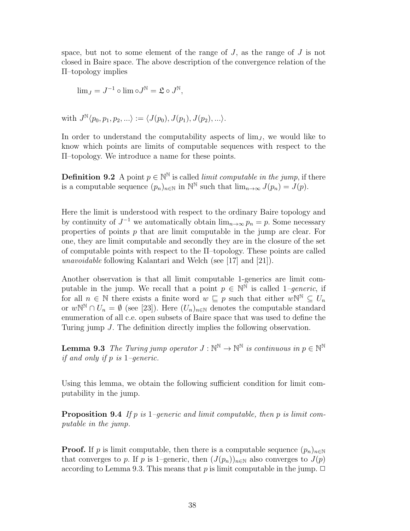space, but not to some element of the range of  $J$ , as the range of  $J$  is not closed in Baire space. The above description of the convergence relation of the Π–topology implies

$$
\lim_{J} = J^{-1} \circ \lim_{\Omega} \circ J^{\mathbb{N}} = \mathfrak{L} \circ J^{\mathbb{N}},
$$

with 
$$
J^{\mathbb{N}}(p_0, p_1, p_2, \ldots) := \langle J(p_0), J(p_1), J(p_2), \ldots \rangle
$$
.

In order to understand the computability aspects of  $\lim_{J}$ , we would like to know which points are limits of computable sequences with respect to the Π–topology. We introduce a name for these points.

**Definition 9.2** A point  $p \in \mathbb{N}^{\mathbb{N}}$  is called *limit computable in the jump*, if there is a computable sequence  $(p_n)_{n \in \mathbb{N}}$  in  $\mathbb{N}^{\mathbb{N}}$  such that  $\lim_{n \to \infty} J(p_n) = J(p)$ .

Here the limit is understood with respect to the ordinary Baire topology and by continuity of  $J^{-1}$  we automatically obtain  $\lim_{n\to\infty} p_n = p$ . Some necessary properties of points  $p$  that are limit computable in the jump are clear. For one, they are limit computable and secondly they are in the closure of the set of computable points with respect to the Π–topology. These points are called unavoidable following Kalantari and Welch (see [17] and [21]).

Another observation is that all limit computable 1-generics are limit computable in the jump. We recall that a point  $p \in \mathbb{N}^{\mathbb{N}}$  is called 1-generic, if for all  $n \in \mathbb{N}$  there exists a finite word  $w \subseteq p$  such that either  $w\mathbb{N}^{\mathbb{N}} \subseteq U_n$ or  $w\mathbb{N}^{\mathbb{N}}\cap U_n=\emptyset$  (see [23]). Here  $(U_n)_{n\in\mathbb{N}}$  denotes the computable standard enumeration of all c.e. open subsets of Baire space that was used to define the Turing jump J. The definition directly implies the following observation.

**Lemma 9.3** The Turing jump operator  $J : \mathbb{N}^{\mathbb{N}} \to \mathbb{N}^{\mathbb{N}}$  is continuous in  $p \in \mathbb{N}^{\mathbb{N}}$ if and only if p is 1–generic.

Using this lemma, we obtain the following sufficient condition for limit computability in the jump.

**Proposition 9.4** If p is 1–generic and limit computable, then p is limit computable in the jump.

**Proof.** If p is limit computable, then there is a computable sequence  $(p_n)_{n\in\mathbb{N}}$ that converges to p. If p is 1–generic, then  $(J(p_n))_{n\in\mathbb{N}}$  also converges to  $J(p)$ according to Lemma 9.3. This means that  $p$  is limit computable in the jump.  $\Box$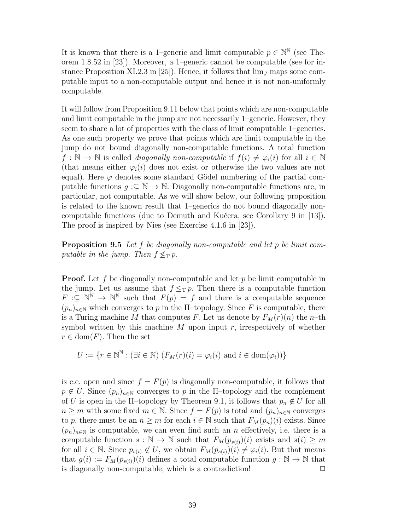It is known that there is a 1–generic and limit computable  $p \in \mathbb{N}^{\mathbb{N}}$  (see Theorem 1.8.52 in [23]). Moreover, a 1–generic cannot be computable (see for instance Proposition XI.2.3 in [25]). Hence, it follows that  $\lim_{J}$  maps some computable input to a non-computable output and hence it is not non-uniformly computable.

It will follow from Proposition 9.11 below that points which are non-computable and limit computable in the jump are not necessarily 1–generic. However, they seem to share a lot of properties with the class of limit computable 1–generics. As one such property we prove that points which are limit computable in the jump do not bound diagonally non-computable functions. A total function  $f : \mathbb{N} \to \mathbb{N}$  is called *diagonally non-computable* if  $f(i) \neq \varphi_i(i)$  for all  $i \in \mathbb{N}$ (that means either  $\varphi_i(i)$  does not exist or otherwise the two values are not equal). Here  $\varphi$  denotes some standard Gödel numbering of the partial computable functions  $g : \subseteq \mathbb{N} \to \mathbb{N}$ . Diagonally non-computable functions are, in particular, not computable. As we will show below, our following proposition is related to the known result that 1–generics do not bound diagonally noncomputable functions (due to Demuth and Kučera, see Corollary 9 in [13]). The proof is inspired by Nies (see Exercise 4.1.6 in [23]).

**Proposition 9.5** Let f be diagonally non-computable and let p be limit computable in the jump. Then  $f \nleq_T p$ .

**Proof.** Let f be diagonally non-computable and let p be limit computable in the jump. Let us assume that  $f \leq_T p$ . Then there is a computable function  $F: \subseteq \mathbb{N}^{\mathbb{N}} \to \mathbb{N}^{\mathbb{N}}$  such that  $F(p) = f$  and there is a computable sequence  $(p_n)_{n\in\mathbb{N}}$  which converges to p in the  $\Pi$ -topology. Since F is computable, there is a Turing machine M that computes F. Let us denote by  $F_M(r)(n)$  the n-th symbol written by this machine  $M$  upon input  $r$ , irrespectively of whether  $r \in \text{dom}(F)$ . Then the set

$$
U := \{ r \in \mathbb{N}^{\mathbb{N}} : (\exists i \in \mathbb{N}) \ (F_M(r)(i) = \varphi_i(i) \text{ and } i \in \text{dom}(\varphi_i)) \}
$$

is c.e. open and since  $f = F(p)$  is diagonally non-computable, it follows that  $p \notin U$ . Since  $(p_n)_{n \in \mathbb{N}}$  converges to p in the  $\Pi$ -topology and the complement of U is open in the  $\Pi$ -topology by Theorem 9.1, it follows that  $p_n \notin U$  for all  $n \geq m$  with some fixed  $m \in \mathbb{N}$ . Since  $f = F(p)$  is total and  $(p_n)_{n \in \mathbb{N}}$  converges to p, there must be an  $n \geq m$  for each  $i \in \mathbb{N}$  such that  $F_M(p_n)(i)$  exists. Since  $(p_n)_{n\in\mathbb{N}}$  is computable, we can even find such an n effectively, i.e. there is a computable function  $s : \mathbb{N} \to \mathbb{N}$  such that  $F_M(p_{s(i)})(i)$  exists and  $s(i) \geq m$ for all  $i \in \mathbb{N}$ . Since  $p_{s(i)} \notin U$ , we obtain  $F_M(p_{s(i)})(i) \neq \varphi_i(i)$ . But that means that  $g(i) := F_M(p_{s(i)})(i)$  defines a total computable function  $g : \mathbb{N} \to \mathbb{N}$  that is diagonally non-computable, which is a contradiction!  $\Box$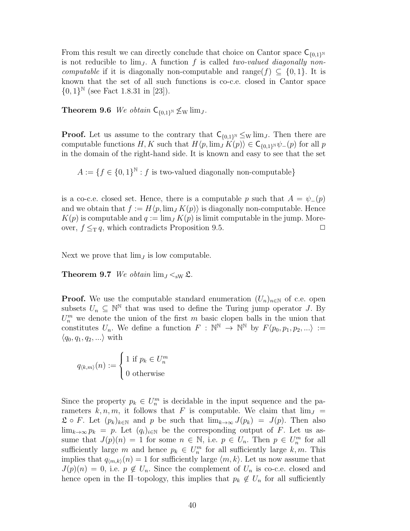From this result we can directly conclude that choice on Cantor space  $C_{\{0,1\}^N}$ is not reducible to  $\lim_{J}$ . A function f is called two-valued diagonally noncomputable if it is diagonally non-computable and range( $f$ )  $\subseteq$  {0, 1}. It is known that the set of all such functions is co-c.e. closed in Cantor space  ${0,1}^{\mathbb{N}}$  (see Fact 1.8.31 in [23]).

**Theorem 9.6** We obtain  $C_{\{0,1\}^{\mathbb{N}}} \not\leq_{\text{W}} \lim_{J}$ .

**Proof.** Let us assume to the contrary that  $C_{\{0,1\}^{\mathbb{N}}} \leq_{\mathrm{W}} \lim_{J}$ . Then there are computable functions  $H, K$  such that  $H\langle p, \lim_{J} K(p) \rangle \in \mathsf{C}_{\{0,1\}^{\mathbb{N}}} \psi_{-}(p)$  for all p in the domain of the right-hand side. It is known and easy to see that the set

 $A := \{f \in \{0,1\}^{\mathbb{N}} : f \text{ is two-valued diagonally non-computable}\}\$ 

is a co-c.e. closed set. Hence, there is a computable p such that  $A = \psi_-(p)$ and we obtain that  $f := H\langle p, \lim_{J} K(p) \rangle$  is diagonally non-computable. Hence  $K(p)$  is computable and  $q := \lim_{I} K(p)$  is limit computable in the jump. Moreover,  $f \leq_T q$ , which contradicts Proposition 9.5.

Next we prove that  $\lim_{J}$  is low computable.

**Theorem 9.7** We obtain  $\lim_{J \leq_{\text{SW}}} \mathfrak{L}$ .

**Proof.** We use the computable standard enumeration  $(U_n)_{n\in\mathbb{N}}$  of c.e. open subsets  $U_n \subseteq \mathbb{N}^{\mathbb{N}}$  that was used to define the Turing jump operator J. By  $U_n^m$  we denote the union of the first m basic clopen balls in the union that constitutes  $U_n$ . We define a function  $F : \mathbb{N}^{\mathbb{N}} \to \mathbb{N}^{\mathbb{N}}$  by  $F(p_0, p_1, p_2, ...) :=$  $\langle q_0, q_1, q_2, \ldots \rangle$  with

 $q_{\langle k,m\rangle}(n) :=$  $\sqrt{ }$  $\bigg)$  $\mathcal{L}$ 1 if  $p_k \in U_n^m$ 0 otherwise

Since the property  $p_k \in U_m^m$  is decidable in the input sequence and the parameters k, n, m, it follows that F is computable. We claim that  $\lim_{J}$  =  $\mathfrak{L} \circ F$ . Let  $(p_k)_{k \in \mathbb{N}}$  and p be such that  $\lim_{k \to \infty} J(p_k) = J(p)$ . Then also  $\lim_{k\to\infty} p_k = p$ . Let  $(q_i)_{i\in\mathbb{N}}$  be the corresponding output of F. Let us assume that  $J(p)(n) = 1$  for some  $n \in \mathbb{N}$ , i.e.  $p \in U_n$ . Then  $p \in U_n^m$  for all sufficiently large m and hence  $p_k \in U_n^m$  for all sufficiently large  $k, m$ . This implies that  $q_{\langle m,k \rangle}(n) = 1$  for sufficiently large  $\langle m, k \rangle$ . Let us now assume that  $J(p)(n) = 0$ , i.e.  $p \notin U_n$ . Since the complement of  $U_n$  is co-c.e. closed and hence open in the  $\Pi$ -topology, this implies that  $p_k \notin U_n$  for all sufficiently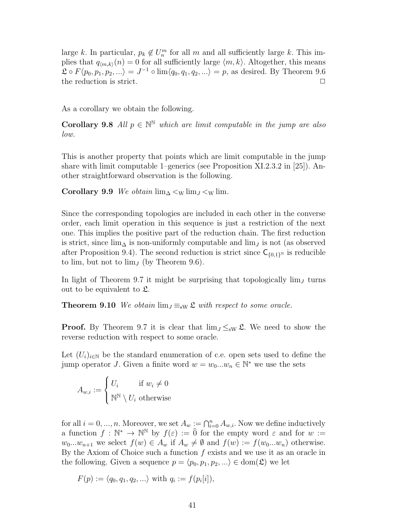large k. In particular,  $p_k \notin U_m^m$  for all m and all sufficiently large k. This implies that  $q_{(m,k)}(n) = 0$  for all sufficiently large  $\langle m, k \rangle$ . Altogether, this means  $\mathfrak{L} \circ F \langle p_0, p_1, p_2, \ldots \rangle = J^{-1} \circ \lim \langle q_0, q_1, q_2, \ldots \rangle = p$ , as desired. By Theorem 9.6 the reduction is strict.  $\Box$ 

As a corollary we obtain the following.

**Corollary 9.8** All  $p \in \mathbb{N}^{\mathbb{N}}$  which are limit computable in the jump are also low.

This is another property that points which are limit computable in the jump share with limit computable 1–generics (see Proposition XI.2.3.2 in [25]). Another straightforward observation is the following.

Corollary 9.9 We obtain  $\lim_{\Delta}$  <w  $\lim_{J}$  <w  $\lim_{J}$ 

Since the corresponding topologies are included in each other in the converse order, each limit operation in this sequence is just a restriction of the next one. This implies the positive part of the reduction chain. The first reduction is strict, since  $\lim_{\Delta}$  is non-uniformly computable and  $\lim_{J}$  is not (as observed after Proposition 9.4). The second reduction is strict since  $C_{\{0,1\}^N}$  is reducible to lim, but not to  $\lim_{J}$  (by Theorem 9.6).

In light of Theorem 9.7 it might be surprising that topologically  $\lim_{J}$  turns out to be equivalent to  $\mathfrak{L}$ .

**Theorem 9.10** We obtain  $\lim_{J \to \infty} \mathfrak{L}$  with respect to some oracle.

**Proof.** By Theorem 9.7 it is clear that  $\lim_{J \leq s_W} \mathfrak{L}$ . We need to show the reverse reduction with respect to some oracle.

Let  $(U_i)_{i\in\mathbb{N}}$  be the standard enumeration of c.e. open sets used to define the jump operator J. Given a finite word  $w = w_0...w_n \in \mathbb{N}^*$  we use the sets

$$
A_{w,i} := \begin{cases} U_i & \text{if } w_i \neq 0 \\ \mathbb{N}^{\mathbb{N}} \setminus U_i & \text{otherwise} \end{cases}
$$

for all  $i = 0, ..., n$ . Moreover, we set  $A_w := \bigcap_{i=0}^n A_{w,i}$ . Now we define inductively a function  $f: \mathbb{N}^* \to \mathbb{N}^{\mathbb{N}}$  by  $f(\varepsilon) := \hat{0}$  for the empty word  $\varepsilon$  and for  $w :=$  $w_0...w_{n+1}$  we select  $f(w) \in A_w$  if  $A_w \neq \emptyset$  and  $f(w) := f(w_0...w_n)$  otherwise. By the Axiom of Choice such a function  $f$  exists and we use it as an oracle in the following. Given a sequence  $p = \langle p_0, p_1, p_2, \ldots \rangle \in \text{dom}(\mathfrak{L})$  we let

$$
F(p) := \langle q_0, q_1, q_2, \ldots \rangle
$$
 with  $q_i := f(p_i[i]),$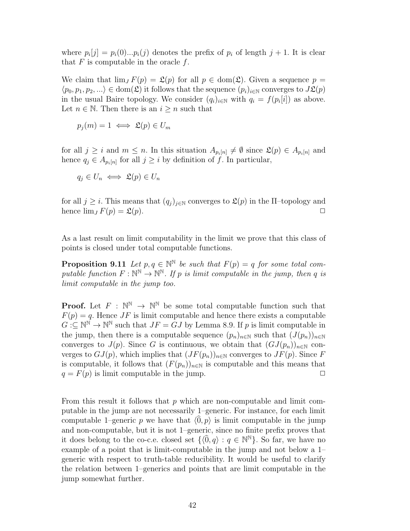where  $p_i[j] = p_i(0)...p_i(j)$  denotes the prefix of  $p_i$  of length  $j + 1$ . It is clear that  $F$  is computable in the oracle  $f$ .

We claim that  $\lim_{J} F(p) = \mathfrak{L}(p)$  for all  $p \in \text{dom}(\mathfrak{L})$ . Given a sequence  $p =$  $\langle p_0, p_1, p_2, ...\rangle \in \text{dom}(\mathfrak{L})$  it follows that the sequence  $(p_i)_{i\in\mathbb{N}}$  converges to  $J\mathfrak{L}(p)$ in the usual Baire topology. We consider  $(q_i)_{i\in\mathbb{N}}$  with  $q_i = f(p_i[i])$  as above. Let  $n \in \mathbb{N}$ . Then there is an  $i \geq n$  such that

$$
p_j(m) = 1 \iff \mathfrak{L}(p) \in U_m
$$

for all  $j \geq i$  and  $m \leq n$ . In this situation  $A_{p_i[n]} \neq \emptyset$  since  $\mathfrak{L}(p) \in A_{p_i[n]}$  and hence  $q_j \in A_{p_i[n]}$  for all  $j \geq i$  by definition of f. In particular,

$$
q_j \in U_n \iff \mathfrak{L}(p) \in U_n
$$

for all  $j \geq i$ . This means that  $(q_j)_{j \in \mathbb{N}}$  converges to  $\mathfrak{L}(p)$  in the  $\Pi$ -topology and hence  $\lim_{J} F(p) = \mathfrak{L}(p).$ 

As a last result on limit computability in the limit we prove that this class of points is closed under total computable functions.

**Proposition 9.11** Let  $p, q \in \mathbb{N}^{\mathbb{N}}$  be such that  $F(p) = q$  for some total computable function  $F: \mathbb{N}^{\mathbb{N}} \to \mathbb{N}^{\mathbb{N}}$ . If p is limit computable in the jump, then q is limit computable in the jump too.

**Proof.** Let  $F : \mathbb{N}^{\mathbb{N}} \to \mathbb{N}^{\mathbb{N}}$  be some total computable function such that  $F(p) = q$ . Hence JF is limit computable and hence there exists a computable  $G:\subseteq\mathbb{N}^{\mathbb{N}}\to\mathbb{N}^{\mathbb{N}}$  such that  $JF=GJ$  by Lemma 8.9. If p is limit computable in the jump, then there is a computable sequence  $(p_n)_{n\in\mathbb{N}}$  such that  $(J(p_n))_{n\in\mathbb{N}}$ converges to  $J(p)$ . Since G is continuous, we obtain that  $(GJ(p_n))_{n\in\mathbb{N}}$  converges to  $GJ(p)$ , which implies that  $(JF(p_n))_{n\in\mathbb{N}}$  converges to  $JF(p)$ . Since F is computable, it follows that  $(F(p_n))_{n\in\mathbb{N}}$  is computable and this means that  $q = F(p)$  is limit computable in the jump.

From this result it follows that  $p$  which are non-computable and limit computable in the jump are not necessarily 1–generic. For instance, for each limit computable 1–generic p we have that  $\langle 0, p \rangle$  is limit computable in the jump and non-computable, but it is not 1–generic, since no finite prefix proves that it does belong to the co-c.e. closed set  $\{ \langle 0, q \rangle : q \in \mathbb{N}^{\mathbb{N}} \}$ . So far, we have no example of a point that is limit-computable in the jump and not below a 1– generic with respect to truth-table reducibility. It would be useful to clarify the relation between 1–generics and points that are limit computable in the jump somewhat further.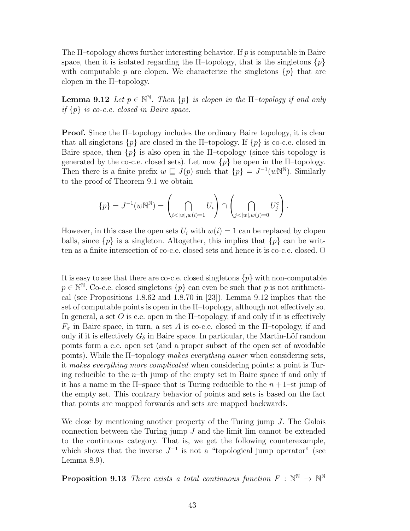The  $\Pi$ -topology shows further interesting behavior. If p is computable in Baire space, then it is isolated regarding the  $\Pi$ -topology, that is the singletons  $\{p\}$ with computable p are clopen. We characterize the singletons  $\{p\}$  that are clopen in the Π–topology.

**Lemma 9.12** Let  $p \in \mathbb{N}^{\mathbb{N}}$ . Then  $\{p\}$  is clopen in the  $\Pi$ -topology if and only if  $\{p\}$  is co-c.e. closed in Baire space.

Proof. Since the Π–topology includes the ordinary Baire topology, it is clear that all singletons  $\{p\}$  are closed in the  $\Pi$ -topology. If  $\{p\}$  is co-c.e. closed in Baire space, then  $\{p\}$  is also open in the  $\Pi$ -topology (since this topology is generated by the co-c.e. closed sets). Let now  $\{p\}$  be open in the  $\Pi$ -topology. Then there is a finite prefix  $w \subseteq J(p)$  such that  $\{p\} = J^{-1}(w\mathbb{N}^{\mathbb{N}})$ . Similarly to the proof of Theorem 9.1 we obtain

$$
\{p\} = J^{-1}(w\mathbb{N}^{\mathbb{N}}) = \left(\bigcap_{i < |w|, w(i) = 1} U_i\right) \cap \left(\bigcap_{j < |w|, w(j) = 0} U_j^c\right).
$$

However, in this case the open sets  $U_i$  with  $w(i) = 1$  can be replaced by clopen balls, since  $\{p\}$  is a singleton. Altogether, this implies that  $\{p\}$  can be written as a finite intersection of co-c.e. closed sets and hence it is co-c.e. closed.  $\Box$ 

It is easy to see that there are co-c.e. closed singletons  $\{p\}$  with non-computable  $p \in \mathbb{N}^{\mathbb{N}}$ . Co-c.e. closed singletons  $\{p\}$  can even be such that p is not arithmetical (see Propositions 1.8.62 and 1.8.70 in [23]). Lemma 9.12 implies that the set of computable points is open in the Π–topology, although not effectively so. In general, a set O is c.e. open in the  $\Pi$ -topology, if and only if it is effectively  $F_{\sigma}$  in Baire space, in turn, a set A is co-c.e. closed in the  $\Pi$ -topology, if and only if it is effectively  $G_{\delta}$  in Baire space. In particular, the Martin-Löf random points form a c.e. open set (and a proper subset of the open set of avoidable points). While the Π–topology makes everything easier when considering sets, it makes everything more complicated when considering points: a point is Turing reducible to the  $n$ -th jump of the empty set in Baire space if and only if it has a name in the  $\Pi$ -space that is Turing reducible to the  $n+1$ -st jump of the empty set. This contrary behavior of points and sets is based on the fact that points are mapped forwards and sets are mapped backwards.

We close by mentioning another property of the Turing jump  $J$ . The Galois connection between the Turing jump  $J$  and the limit lim cannot be extended to the continuous category. That is, we get the following counterexample, which shows that the inverse  $J^{-1}$  is not a "topological jump operator" (see Lemma 8.9).

**Proposition 9.13** There exists a total continuous function  $F : \mathbb{N}^{\mathbb{N}} \to \mathbb{N}^{\mathbb{N}}$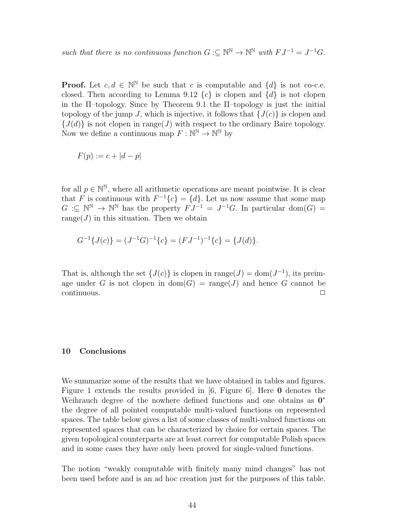such that there is no continuous function  $G: \subseteq \mathbb{N}^{\mathbb{N}} \to \mathbb{N}^{\mathbb{N}}$  with  $FJ^{-1} = J^{-1}G$ .

**Proof.** Let  $c, d \in \mathbb{N}^{\mathbb{N}}$  be such that c is computable and  $\{d\}$  is not co-c.e. closed. Then according to Lemma 9.12  $\{c\}$  is clopen and  $\{d\}$  is not clopen in the Π–topology. Since by Theorem 9.1 the Π–topology is just the initial topology of the jump J, which is injective, it follows that  $\{J(c)\}\$ is clopen and  ${J(d)}$  is not clopen in range(J) with respect to the ordinary Baire topology. Now we define a continuous map  $F: \mathbb{N}^{\mathbb{N}} \to \mathbb{N}^{\mathbb{N}}$  by

$$
F(p) := c + |d - p|
$$

for all  $p \in \mathbb{N}^{\mathbb{N}}$ , where all arithmetic operations are meant pointwise. It is clear that F is continuous with  $F^{-1}{c} = {d}$ . Let us now assume that some map  $G: \subseteq \mathbb{N}^{\mathbb{N}} \to \mathbb{N}^{\mathbb{N}}$  has the property  $FJ^{-1} = J^{-1}G$ . In particular dom $(G) =$ range( $J$ ) in this situation. Then we obtain

$$
G^{-1}{J(c)} = (J^{-1}G)^{-1}{c} = (FJ^{-1})^{-1}{c} = {J(d)}.
$$

That is, although the set  $\{J(c)\}\$ is clopen in range $(J) = \text{dom}(J^{-1})$ , its preimage under G is not clopen in  $dom(G) = range(J)$  and hence G cannot be  $\Box$ continuous.  $\Box$ 

#### 10 Conclusions

We summarize some of the results that we have obtained in tables and figures. Figure 1 extends the results provided in [6, Figure 6]. Here 0 denotes the Weihrauch degree of the nowhere defined functions and one obtains as  $0^*$ the degree of all pointed computable multi-valued functions on represented spaces. The table below gives a list of some classes of multi-valued functions on represented spaces that can be characterized by choice for certain spaces. The given topological counterparts are at least correct for computable Polish spaces and in some cases they have only been proved for single-valued functions.

The notion "weakly computable with finitely many mind changes" has not been used before and is an ad hoc creation just for the purposes of this table.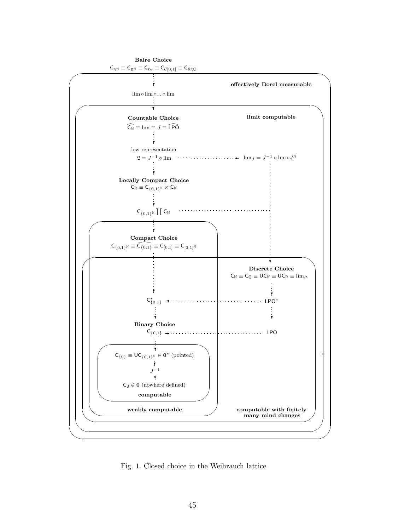

Fig. 1. Closed choice in the Weihrauch lattice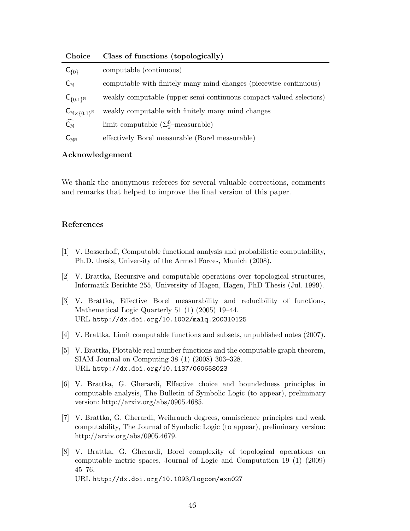| Choice                                              | Class of functions (topologically)                                 |
|-----------------------------------------------------|--------------------------------------------------------------------|
| $C_{\{0\}}$                                         | computable (continuous)                                            |
| $C_{\mathbb{N}}$                                    | computable with finitely many mind changes (piecewise continuous)  |
| $C_{\{0,1\}^{\mathbb{N}}}$                          | weakly computable (upper semi-continuous compact-valued selectors) |
| $\mathsf{C}_{\mathbb{N}\times\{0,1\}^{\mathbb{N}}}$ | weakly computable with finitely many mind changes                  |
| $\widehat{\mathsf{C}_{\mathbb{N}}}$                 | limit computable $(\Sigma_{2}^{0}$ -measurable)                    |
| $\mathsf{C}_\mathbb{N}$ N                           | effectively Borel measurable (Borel measurable)                    |

# Choice Class of functions (topologically)

# Acknowledgement

We thank the anonymous referees for several valuable corrections, comments and remarks that helped to improve the final version of this paper.

# References

- [1] V. Bosserhoff, Computable functional analysis and probabilistic computability, Ph.D. thesis, University of the Armed Forces, Munich (2008).
- [2] V. Brattka, Recursive and computable operations over topological structures, Informatik Berichte 255, University of Hagen, Hagen, PhD Thesis (Jul. 1999).
- [3] V. Brattka, Effective Borel measurability and reducibility of functions, Mathematical Logic Quarterly 51 (1) (2005) 19–44. URL http://dx.doi.org/10.1002/malq.200310125
- [4] V. Brattka, Limit computable functions and subsets, unpublished notes (2007).
- [5] V. Brattka, Plottable real number functions and the computable graph theorem, SIAM Journal on Computing 38 (1) (2008) 303–328. URL http://dx.doi.org/10.1137/060658023
- [6] V. Brattka, G. Gherardi, Effective choice and boundedness principles in computable analysis, The Bulletin of Symbolic Logic (to appear), preliminary version: http://arxiv.org/abs/0905.4685.
- [7] V. Brattka, G. Gherardi, Weihrauch degrees, omniscience principles and weak computability, The Journal of Symbolic Logic (to appear), preliminary version: http://arxiv.org/abs/0905.4679.
- [8] V. Brattka, G. Gherardi, Borel complexity of topological operations on computable metric spaces, Journal of Logic and Computation 19 (1) (2009) 45–76. URL http://dx.doi.org/10.1093/logcom/exn027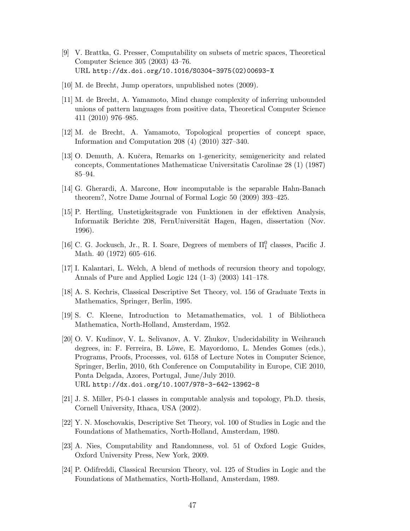- [9] V. Brattka, G. Presser, Computability on subsets of metric spaces, Theoretical Computer Science 305 (2003) 43–76. URL http://dx.doi.org/10.1016/S0304-3975(02)00693-X
- [10] M. de Brecht, Jump operators, unpublished notes (2009).
- [11] M. de Brecht, A. Yamamoto, Mind change complexity of inferring unbounded unions of pattern languages from positive data, Theoretical Computer Science 411 (2010) 976–985.
- [12] M. de Brecht, A. Yamamoto, Topological properties of concept space, Information and Computation 208 (4) (2010) 327–340.
- [13] O. Demuth, A. Kučera, Remarks on 1-genericity, semigenericity and related concepts, Commentationes Mathematicae Universitatis Carolinae 28 (1) (1987) 85–94.
- [14] G. Gherardi, A. Marcone, How incomputable is the separable Hahn-Banach theorem?, Notre Dame Journal of Formal Logic 50 (2009) 393–425.
- [15] P. Hertling, Unstetigkeitsgrade von Funktionen in der effektiven Analysis, Informatik Berichte 208, FernUniversität Hagen, Hagen, dissertation (Nov. 1996).
- [16] C. G. Jockusch, Jr., R. I. Soare, Degrees of members of  $\Pi_1^0$  classes, Pacific J. Math. 40 (1972) 605–616.
- [17] I. Kalantari, L. Welch, A blend of methods of recursion theory and topology, Annals of Pure and Applied Logic 124 (1–3) (2003) 141–178.
- [18] A. S. Kechris, Classical Descriptive Set Theory, vol. 156 of Graduate Texts in Mathematics, Springer, Berlin, 1995.
- [19] S. C. Kleene, Introduction to Metamathematics, vol. 1 of Bibliotheca Mathematica, North-Holland, Amsterdam, 1952.
- [20] O. V. Kudinov, V. L. Selivanov, A. V. Zhukov, Undecidability in Weihrauch degrees, in: F. Ferreira, B. Löwe, E. Mayordomo, L. Mendes Gomes (eds.), Programs, Proofs, Processes, vol. 6158 of Lecture Notes in Computer Science, Springer, Berlin, 2010, 6th Conference on Computability in Europe, CiE 2010, Ponta Delgada, Azores, Portugal, June/July 2010. URL http://dx.doi.org/10.1007/978-3-642-13962-8
- [21] J. S. Miller, Pi-0-1 classes in computable analysis and topology, Ph.D. thesis, Cornell University, Ithaca, USA (2002).
- [22] Y. N. Moschovakis, Descriptive Set Theory, vol. 100 of Studies in Logic and the Foundations of Mathematics, North-Holland, Amsterdam, 1980.
- [23] A. Nies, Computability and Randomness, vol. 51 of Oxford Logic Guides, Oxford University Press, New York, 2009.
- [24] P. Odifreddi, Classical Recursion Theory, vol. 125 of Studies in Logic and the Foundations of Mathematics, North-Holland, Amsterdam, 1989.